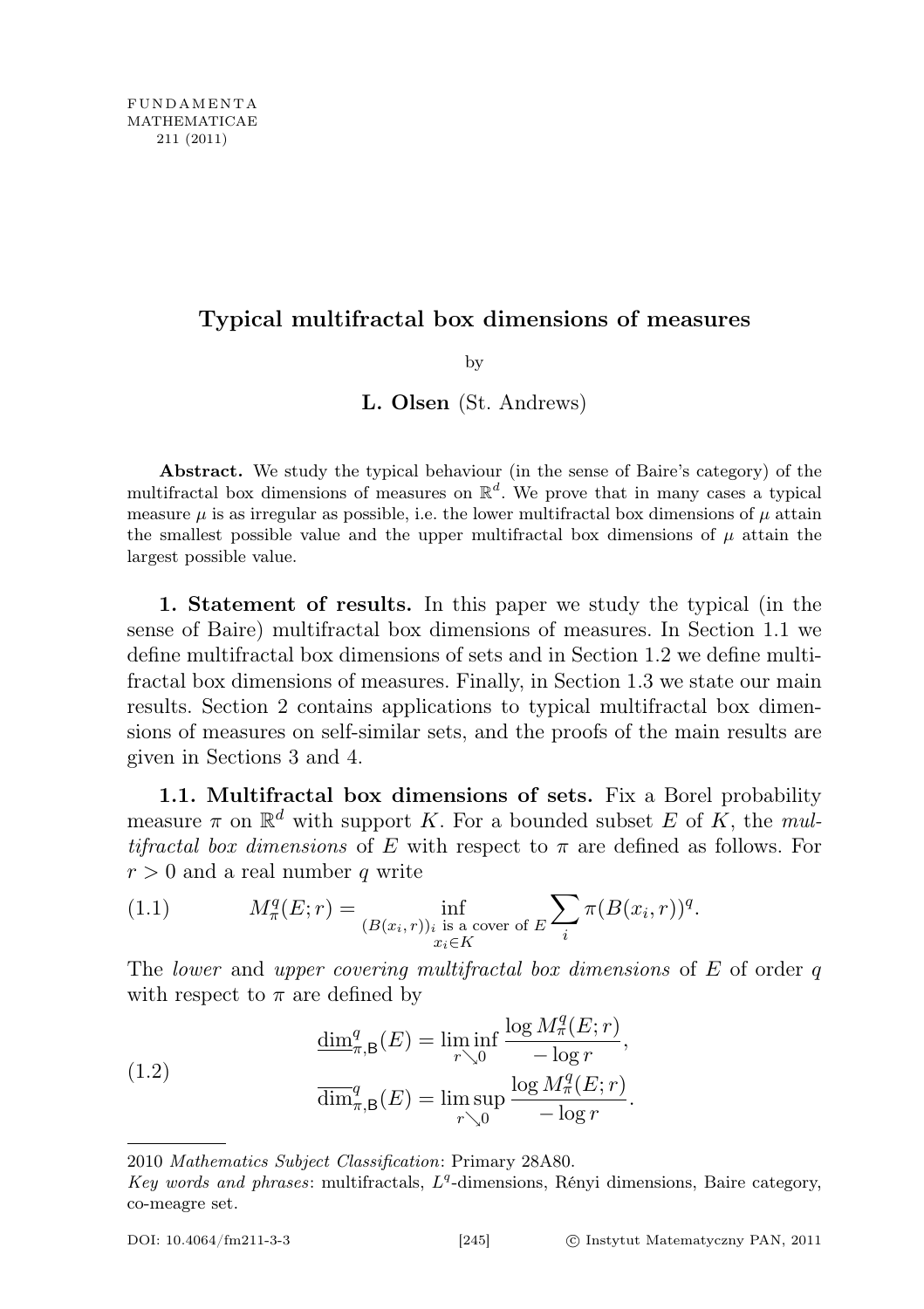## Typical multifractal box dimensions of measures

by

L. Olsen (St. Andrews)

Abstract. We study the typical behaviour (in the sense of Baire's category) of the multifractal box dimensions of measures on  $\mathbb{R}^d$ . We prove that in many cases a typical measure  $\mu$  is as irregular as possible, i.e. the lower multifractal box dimensions of  $\mu$  attain the smallest possible value and the upper multifractal box dimensions of  $\mu$  attain the largest possible value.

1. Statement of results. In this paper we study the typical (in the sense of Baire) multifractal box dimensions of measures. In Section 1.1 we define multifractal box dimensions of sets and in Section 1.2 we define multifractal box dimensions of measures. Finally, in Section 1.3 we state our main results. Section 2 contains applications to typical multifractal box dimensions of measures on self-similar sets, and the proofs of the main results are given in Sections 3 and 4.

1.1. Multifractal box dimensions of sets. Fix a Borel probability measure  $\pi$  on  $\mathbb{R}^d$  with support K. For a bounded subset E of K, the multifractal box dimensions of E with respect to  $\pi$  are defined as follows. For  $r > 0$  and a real number q write

(1.1) 
$$
M_{\pi}^{q}(E; r) = \inf_{\substack{(B(x_i,r))_i \text{ is a cover of } E \\ x_i \in K}} \sum_{i} \pi(B(x_i, r))^q.
$$

The lower and upper covering multifractal box dimensions of E of order q with respect to  $\pi$  are defined by

(1.2) 
$$
\frac{\dim_{\pi,B}^q(E)}{\dim_{\pi,B}^q(E)} = \liminf_{r \searrow 0} \frac{\log M_\pi^q(E; r)}{-\log r},
$$

$$
\overline{\dim}_{\pi,B}^q(E) = \limsup_{r \searrow 0} \frac{\log M_\pi^q(E; r)}{-\log r}.
$$

<sup>2010</sup> Mathematics Subject Classification: Primary 28A80.

Key words and phrases: multifractals,  $L<sup>q</sup>$ -dimensions, Rényi dimensions, Baire category, co-meagre set.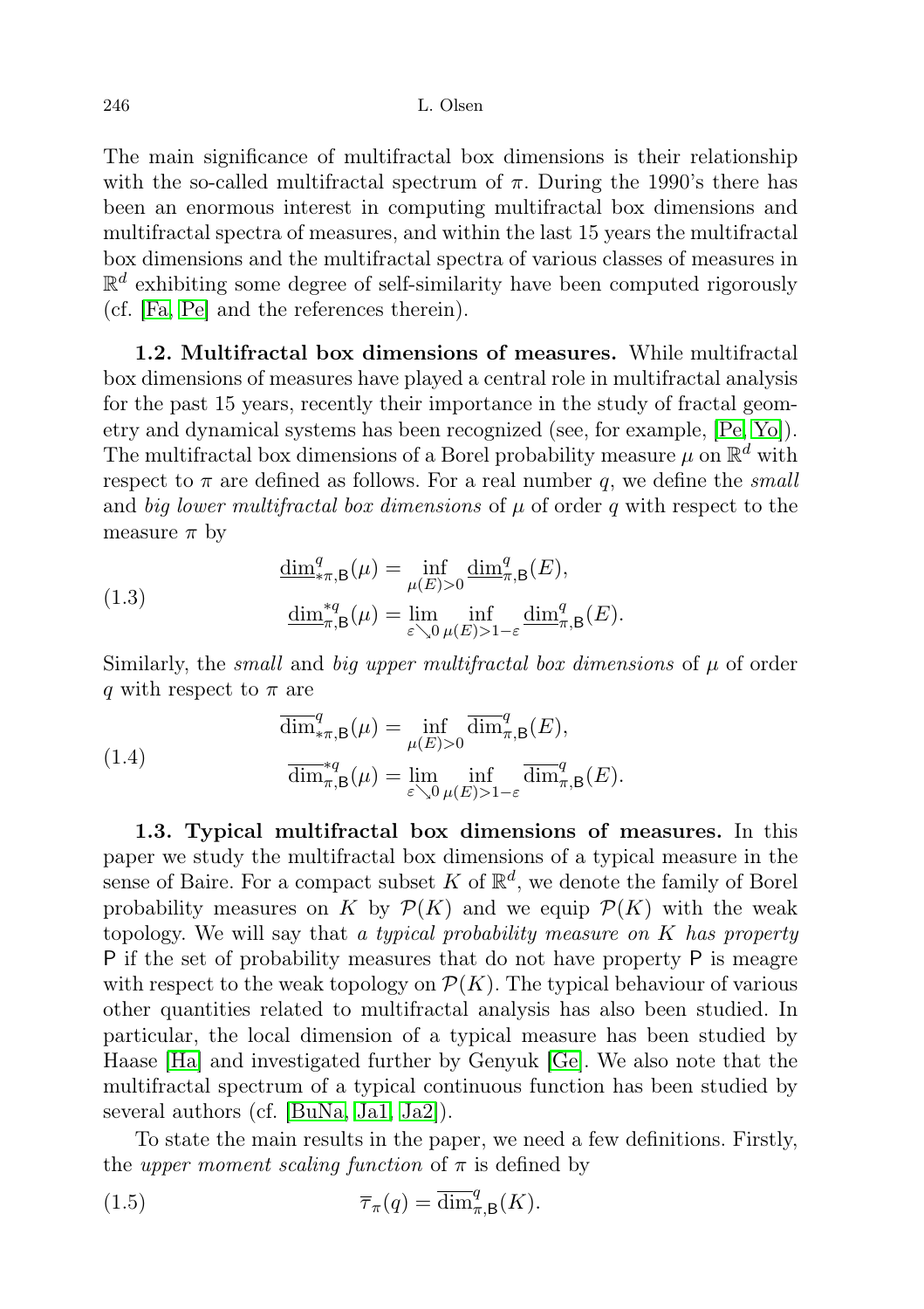The main significance of multifractal box dimensions is their relationship with the so-called multifractal spectrum of  $\pi$ . During the 1990's there has been an enormous interest in computing multifractal box dimensions and multifractal spectra of measures, and within the last 15 years the multifractal box dimensions and the multifractal spectra of various classes of measures in  $\mathbb{R}^d$  exhibiting some degree of self-similarity have been computed rigorously (cf. [\[Fa,](#page-21-0) [Pe\]](#page-21-1) and the references therein).

1.2. Multifractal box dimensions of measures. While multifractal box dimensions of measures have played a central role in multifractal analysis for the past 15 years, recently their importance in the study of fractal geometry and dynamical systems has been recognized (see, for example, [\[Pe,](#page-21-1) [Yo\]](#page-21-2)). The multifractal box dimensions of a Borel probability measure  $\mu$  on  $\mathbb{R}^d$  with respect to  $\pi$  are defined as follows. For a real number  $q$ , we define the *small* and big lower multifractal box dimensions of  $\mu$  of order q with respect to the measure  $\pi$  by

(1.3) 
$$
\frac{\dim_{*\pi,\mathsf{B}}^q(\mu) = \inf_{\mu(E)>0} \underline{\dim}_{\pi,\mathsf{B}}^q(E),}{\underline{\dim}_{\pi,\mathsf{B}}^{*q}(\mu) = \lim_{\varepsilon \searrow 0} \inf_{\mu(E)>1-\varepsilon} \underline{\dim}_{\pi,\mathsf{B}}^q(E).
$$

Similarly, the *small* and *big upper multifractal box dimensions* of  $\mu$  of order q with respect to  $\pi$  are

(1.4) 
$$
\overline{\dim}_{\pi,\mathsf{B}}^q(\mu) = \inf_{\mu(E)>0} \overline{\dim}_{\pi,\mathsf{B}}^q(E),
$$

$$
\overline{\dim}_{\pi,\mathsf{B}}^{\ast q}(\mu) = \lim_{\varepsilon \searrow 0} \inf_{\mu(E)>1-\varepsilon} \overline{\dim}_{\pi,\mathsf{B}}^q(E).
$$

1.3. Typical multifractal box dimensions of measures. In this paper we study the multifractal box dimensions of a typical measure in the sense of Baire. For a compact subset K of  $\mathbb{R}^d$ , we denote the family of Borel probability measures on K by  $\mathcal{P}(K)$  and we equip  $\mathcal{P}(K)$  with the weak topology. We will say that a typical probability measure on  $K$  has property P if the set of probability measures that do not have property P is meagre with respect to the weak topology on  $\mathcal{P}(K)$ . The typical behaviour of various other quantities related to multifractal analysis has also been studied. In particular, the local dimension of a typical measure has been studied by Haase [\[Ha\]](#page-21-3) and investigated further by Genyuk [\[Ge\]](#page-21-4). We also note that the multifractal spectrum of a typical continuous function has been studied by several authors (cf. [\[BuNa,](#page-20-0) [Ja1,](#page-21-5) [Ja2\]](#page-21-6)).

To state the main results in the paper, we need a few definitions. Firstly, the upper moment scaling function of  $\pi$  is defined by

(1.5) 
$$
\overline{\tau}_{\pi}(q) = \overline{\dim}_{\pi,\mathsf{B}}^q(K).
$$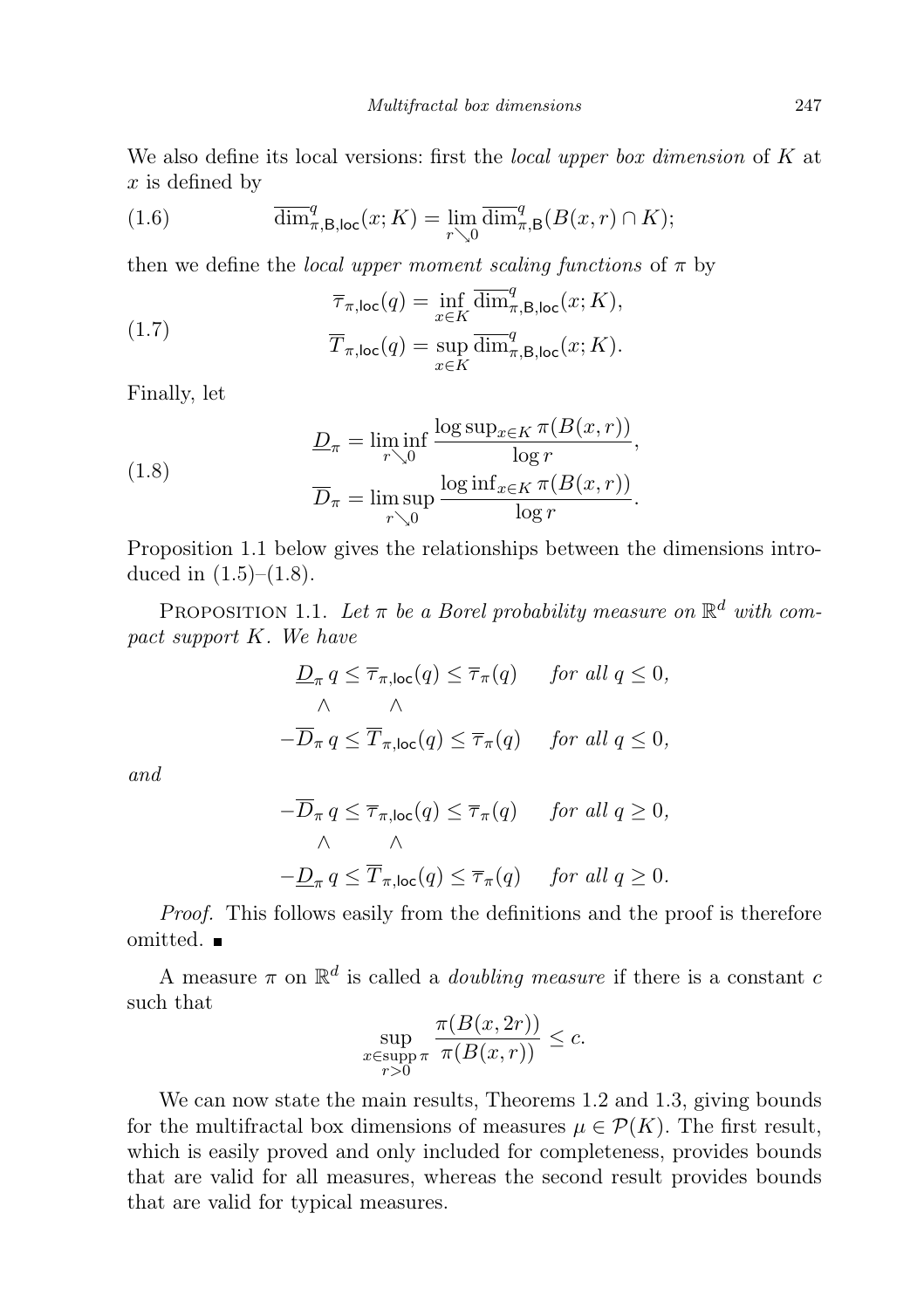We also define its local versions: first the *local upper box dimension* of  $K$  at  $x$  is defined by

(1.6) 
$$
\overline{\dim}^q_{\pi,\mathsf{B},\mathsf{loc}}(x;K) = \lim_{r\searrow 0} \overline{\dim}^q_{\pi,\mathsf{B}}(B(x,r)\cap K);
$$

then we define the *local upper moment scaling functions* of  $\pi$  by

(1.7) 
$$
\overline{\tau}_{\pi,\text{loc}}(q) = \inf_{x \in K} \overline{\dim}^q_{\pi,\text{B,loc}}(x;K),
$$

$$
\overline{T}_{\pi,\text{loc}}(q) = \sup_{x \in K} \overline{\dim}^q_{\pi,\text{B,loc}}(x;K).
$$

Finally, let

(1.8) 
$$
\frac{D_{\pi} = \liminf_{r \searrow 0} \frac{\log \sup_{x \in K} \pi(B(x, r))}{\log r}}{\overline{D}_{\pi} = \limsup_{r \searrow 0} \frac{\log \inf_{x \in K} \pi(B(x, r))}{\log r}}.
$$

Proposition 1.1 below gives the relationships between the dimensions introduced in  $(1.5)$ – $(1.8)$ .

PROPOSITION 1.1. Let  $\pi$  be a Borel probability measure on  $\mathbb{R}^d$  with compact support K. We have

$$
\begin{aligned}\n\mathcal{D}_{\pi} q &\leq \overline{\tau}_{\pi, \text{loc}}(q) \leq \overline{\tau}_{\pi}(q) \qquad \text{for all } q \leq 0, \\
\wedge \qquad \wedge \\
-\overline{\mathcal{D}}_{\pi} q &\leq \overline{T}_{\pi, \text{loc}}(q) \leq \overline{\tau}_{\pi}(q) \qquad \text{for all } q \leq 0,\n\end{aligned}
$$

and

$$
-\overline{D}_{\pi} q \le \overline{\tau}_{\pi, \text{loc}}(q) \le \overline{\tau}_{\pi}(q) \quad \text{for all } q \ge 0,
$$
  

$$
\wedge \qquad \wedge
$$
  

$$
-\underline{D}_{\pi} q \le \overline{T}_{\pi, \text{loc}}(q) \le \overline{\tau}_{\pi}(q) \quad \text{for all } q \ge 0.
$$

Proof. This follows easily from the definitions and the proof is therefore omitted.

A measure  $\pi$  on  $\mathbb{R}^d$  is called a *doubling measure* if there is a constant c such that

$$
\sup_{\substack{x \in \text{supp } \pi \\ r>0}} \frac{\pi(B(x, 2r))}{\pi(B(x, r))} \le c.
$$

We can now state the main results, Theorems 1.2 and 1.3, giving bounds for the multifractal box dimensions of measures  $\mu \in \mathcal{P}(K)$ . The first result, which is easily proved and only included for completeness, provides bounds that are valid for all measures, whereas the second result provides bounds that are valid for typical measures.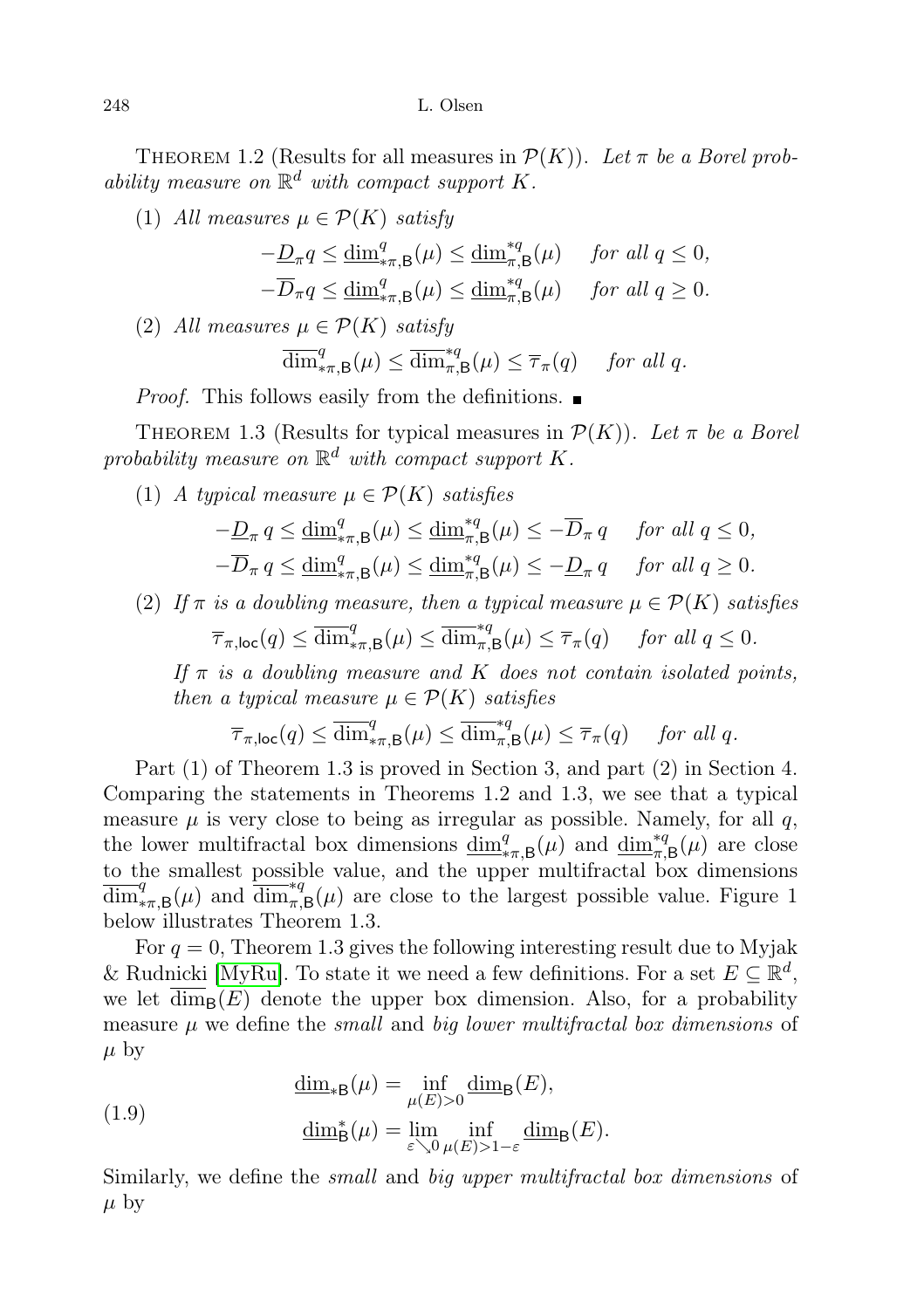THEOREM 1.2 (Results for all measures in  $\mathcal{P}(K)$ ). Let  $\pi$  be a Borel probability measure on  $\mathbb{R}^d$  with compact support K.

(1) All measures  $\mu \in \mathcal{P}(K)$  satisfy

$$
-\underline{D}_{\pi}q \le \underline{\dim}^q_{*\pi,\mathsf{B}}(\mu) \le \underline{\dim}^{*q}_{\pi,\mathsf{B}}(\mu) \quad \text{ for all } q \le 0,
$$
  

$$
-\overline{D}_{\pi}q \le \underline{\dim}^q_{*\pi,\mathsf{B}}(\mu) \le \underline{\dim}^{*q}_{\pi,\mathsf{B}}(\mu) \quad \text{ for all } q \ge 0.
$$

(2) All measures  $\mu \in \mathcal{P}(K)$  satisfy

$$
\overline{\dim}_{\pi,\mathsf{B}}^q(\mu) \le \overline{\dim}_{\pi,\mathsf{B}}^{\ast q}(\mu) \le \overline{\tau}_{\pi}(q) \quad \text{ for all } q.
$$

*Proof.* This follows easily from the definitions.

THEOREM 1.3 (Results for typical measures in  $\mathcal{P}(K)$ ). Let  $\pi$  be a Borel probability measure on  $\mathbb{R}^d$  with compact support K.

(1) A typical measure  $\mu \in \mathcal{P}(K)$  satisfies

$$
-\underline{D}_{\pi} q \le \underline{\dim}^q_{*\pi, \mathsf{B}}(\mu) \le \underline{\dim}^{*q}_{\pi, \mathsf{B}}(\mu) \le -\overline{D}_{\pi} q \quad \text{for all } q \le 0,
$$
  

$$
-\overline{D}_{\pi} q \le \underline{\dim}^q_{*\pi, \mathsf{B}}(\mu) \le \underline{\dim}^{*q}_{\pi, \mathsf{B}}(\mu) \le -\underline{D}_{\pi} q \quad \text{for all } q \ge 0.
$$

(2) If  $\pi$  is a doubling measure, then a typical measure  $\mu \in \mathcal{P}(K)$  satisfies

$$
\overline{\tau}_{\pi,\text{loc}}(q) \le \overline{\dim}_{\ast\pi,\mathsf{B}}^q(\mu) \le \overline{\dim}_{\pi,\mathsf{B}}^{\ast q}(\mu) \le \overline{\tau}_{\pi}(q) \quad \text{ for all } q \le 0.
$$

If  $\pi$  is a doubling measure and K does not contain isolated points, then a typical measure  $\mu \in \mathcal{P}(K)$  satisfies

$$
\overline{\tau}_{\pi,\text{loc}}(q) \leq \overline{\dim}_{*\pi,\mathsf{B}}^q(\mu) \leq \overline{\dim}_{\pi,\mathsf{B}}^{*q}(\mu) \leq \overline{\tau}_{\pi}(q) \quad \text{ for all } q.
$$

Part (1) of Theorem 1.3 is proved in Section 3, and part (2) in Section 4. Comparing the statements in Theorems 1.2 and 1.3, we see that a typical measure  $\mu$  is very close to being as irregular as possible. Namely, for all q, the lower multifractal box dimensions  $\underline{\dim}_{*\pi,B}^q(\mu)$  and  $\underline{\dim}_{\pi,B}^{*q}(\mu)$  are close to the smallest possible value, and the upper multifractal box dimensions  $\overline{\dim}_{\pi,\mathsf{B}}^q(\mu)$  and  $\overline{\dim}_{\pi,\mathsf{B}}^{\ast q}(\mu)$  are close to the largest possible value. Figure 1 below illustrates Theorem 1.3.

For  $q = 0$ , Theorem 1.3 gives the following interesting result due to Myjak & Rudnicki [\[MyRu\]](#page-21-7). To state it we need a few definitions. For a set  $E \subseteq \mathbb{R}^d$ , we let  $\dim_{\mathbf{B}}(E)$  denote the upper box dimension. Also, for a probability measure  $\mu$  we define the small and big lower multifractal box dimensions of  $\mu$  by

(1.9) 
$$
\underline{\dim}_{*B}(\mu) = \inf_{\mu(E)>0} \underline{\dim}_{B}(E),
$$

$$
\underline{\dim}_{B}^{*}(\mu) = \lim_{\varepsilon \searrow 0} \inf_{\mu(E)>1-\varepsilon} \underline{\dim}_{B}(E).
$$

Similarly, we define the small and big upper multifractal box dimensions of  $\mu$  by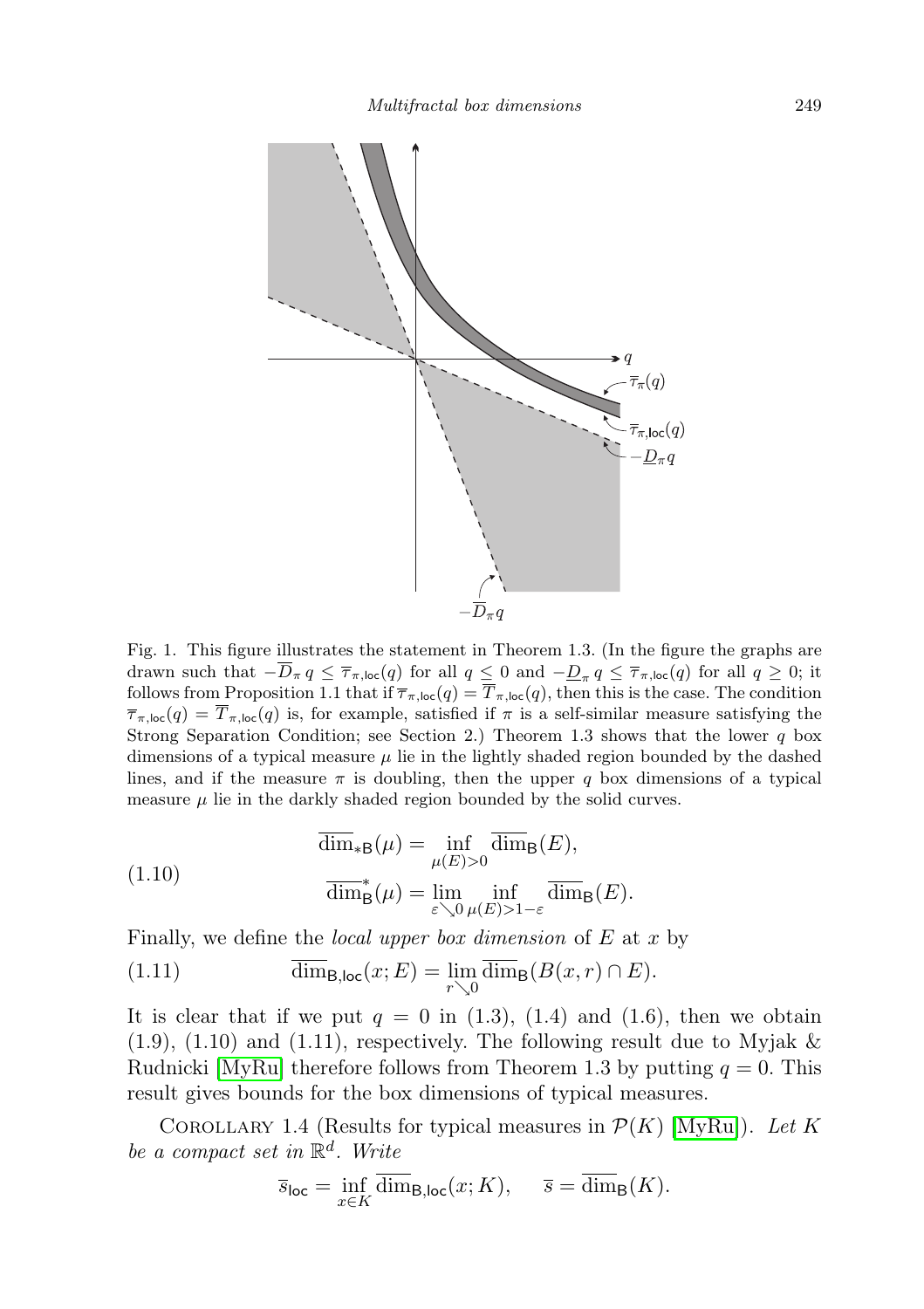

Fig. 1. This figure illustrates the statement in Theorem 1.3. (In the figure the graphs are drawn such that  $-D_{\pi} q \leq \overline{\tau}_{\pi,\textsf{loc}}(q)$  for all  $q \leq 0$  and  $-\underline{D}_{\pi} q \leq \overline{\tau}_{\pi,\textsf{loc}}(q)$  for all  $q \geq 0$ ; it follows from Proposition 1.1 that if  $\overline{\tau}_{\pi,\text{loc}}(q) = T_{\pi,\text{loc}}(q)$ , then this is the case. The condition  $\overline{\tau}_{\pi,\text{loc}}(q) = \overline{T}_{\pi,\text{loc}}(q)$  is, for example, satisfied if  $\pi$  is a self-similar measure satisfying the Strong Separation Condition; see Section 2.) Theorem 1.3 shows that the lower  $q$  box dimensions of a typical measure  $\mu$  lie in the lightly shaded region bounded by the dashed lines, and if the measure  $\pi$  is doubling, then the upper q box dimensions of a typical measure  $\mu$  lie in the darkly shaded region bounded by the solid curves.

(1.10) 
$$
\overline{\dim}_{*B}(\mu) = \inf_{\mu(E)>0} \overline{\dim}_{B}(E),
$$

$$
\overline{\dim}_{B}^{*}(\mu) = \lim_{\varepsilon \searrow 0} \inf_{\mu(E)>1-\varepsilon} \overline{\dim}_{B}(E).
$$

Finally, we define the *local upper box dimension* of  $E$  at  $x$  by

(1.11) 
$$
\overline{\dim}_{B,\text{loc}}(x;E) = \lim_{r \searrow 0} \overline{\dim}_{B}(B(x,r) \cap E).
$$

It is clear that if we put  $q = 0$  in (1.3), (1.4) and (1.6), then we obtain  $(1.9)$ ,  $(1.10)$  and  $(1.11)$ , respectively. The following result due to Myjak & Rudnicki  $[MyRu]$  therefore follows from Theorem 1.3 by putting  $q = 0$ . This result gives bounds for the box dimensions of typical measures.

COROLLARY 1.4 (Results for typical measures in  $\mathcal{P}(K)$  [\[MyRu\]](#page-21-7)). Let K be a compact set in  $\mathbb{R}^d$ . Write

$$
\overline{s}_{\text{loc}} = \inf_{x \in K} \overline{\dim}_{\mathsf{B},\text{loc}}(x;K), \quad \overline{s} = \overline{\dim}_{\mathsf{B}}(K).
$$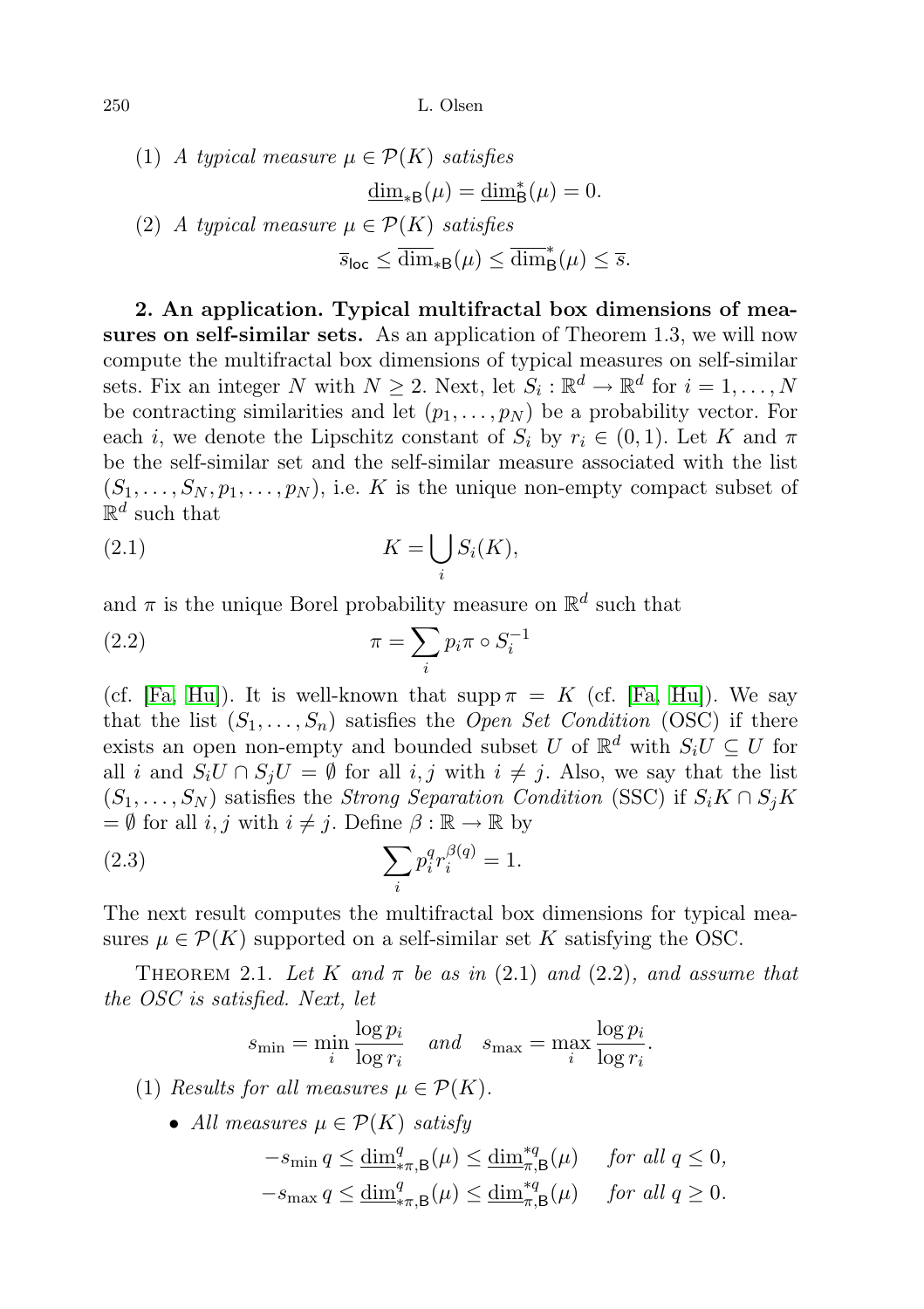\n- (1) A typical measure 
$$
\mu \in \mathcal{P}(K)
$$
 satisfies  $\dim_{*B}(\mu) = \dim_{B}^{*}(\mu) = 0.$
\n- (2) A typical measure  $\mu \in \mathcal{P}(K)$  satisfies  $\overline{s}_{\text{loc}} \leq \dim_{*B}(\mu) \leq \overline{\dim}_{B}^{*}(\mu) \leq \overline{s}.$
\n

2. An application. Typical multifractal box dimensions of measures on self-similar sets. As an application of Theorem 1.3, we will now compute the multifractal box dimensions of typical measures on self-similar sets. Fix an integer N with  $N \geq 2$ . Next, let  $S_i : \mathbb{R}^d \to \mathbb{R}^d$  for  $i = 1, ..., N$ be contracting similarities and let  $(p_1, \ldots, p_N)$  be a probability vector. For each i, we denote the Lipschitz constant of  $S_i$  by  $r_i \in (0,1)$ . Let K and  $\pi$ be the self-similar set and the self-similar measure associated with the list  $(S_1, \ldots, S_N, p_1, \ldots, p_N)$ , i.e. K is the unique non-empty compact subset of  $\mathbb{R}^d$  such that

$$
(2.1) \t K = \bigcup_{i} S_i(K),
$$

and  $\pi$  is the unique Borel probability measure on  $\mathbb{R}^d$  such that

(2.2) 
$$
\pi = \sum_{i} p_i \pi \circ S_i^{-1}
$$

(cf. [\[Fa,](#page-21-0) [Hu\]](#page-21-8)). It is well-known that  $\text{supp}\,\pi = K$  (cf. [Fa, Hu]). We say that the list  $(S_1, \ldots, S_n)$  satisfies the *Open Set Condition* (OSC) if there exists an open non-empty and bounded subset U of  $\mathbb{R}^d$  with  $S_i U \subseteq U$  for all i and  $S_iU \cap S_jU = \emptyset$  for all i, j with  $i \neq j$ . Also, we say that the list  $(S_1, \ldots, S_N)$  satisfies the Strong Separation Condition (SSC) if  $S_i K \cap S_j K$  $= \emptyset$  for all *i*, *j* with  $i \neq j$ . Define  $\beta : \mathbb{R} \to \mathbb{R}$  by

(2.3) 
$$
\sum_{i} p_i^q r_i^{\beta(q)} = 1.
$$

The next result computes the multifractal box dimensions for typical measures  $\mu \in \mathcal{P}(K)$  supported on a self-similar set K satisfying the OSC.

THEOREM 2.1. Let K and  $\pi$  be as in (2.1) and (2.2), and assume that the OSC is satisfied. Next, let

$$
s_{\min} = \min_{i} \frac{\log p_i}{\log r_i} \quad and \quad s_{\max} = \max_{i} \frac{\log p_i}{\log r_i}.
$$

(1) Results for all measures  $\mu \in \mathcal{P}(K)$ .

• All measures  $\mu \in \mathcal{P}(K)$  satisfy

$$
-s_{\min} q \le \underline{\dim}_{*\pi,\mathsf{B}}^q(\mu) \le \underline{\dim}_{\pi,\mathsf{B}}^{*q}(\mu) \quad \text{for all } q \le 0,
$$
  

$$
-s_{\max} q \le \underline{\dim}_{*\pi,\mathsf{B}}^q(\mu) \le \underline{\dim}_{\pi,\mathsf{B}}^{*q}(\mu) \quad \text{for all } q \ge 0.
$$

$$
250\,
$$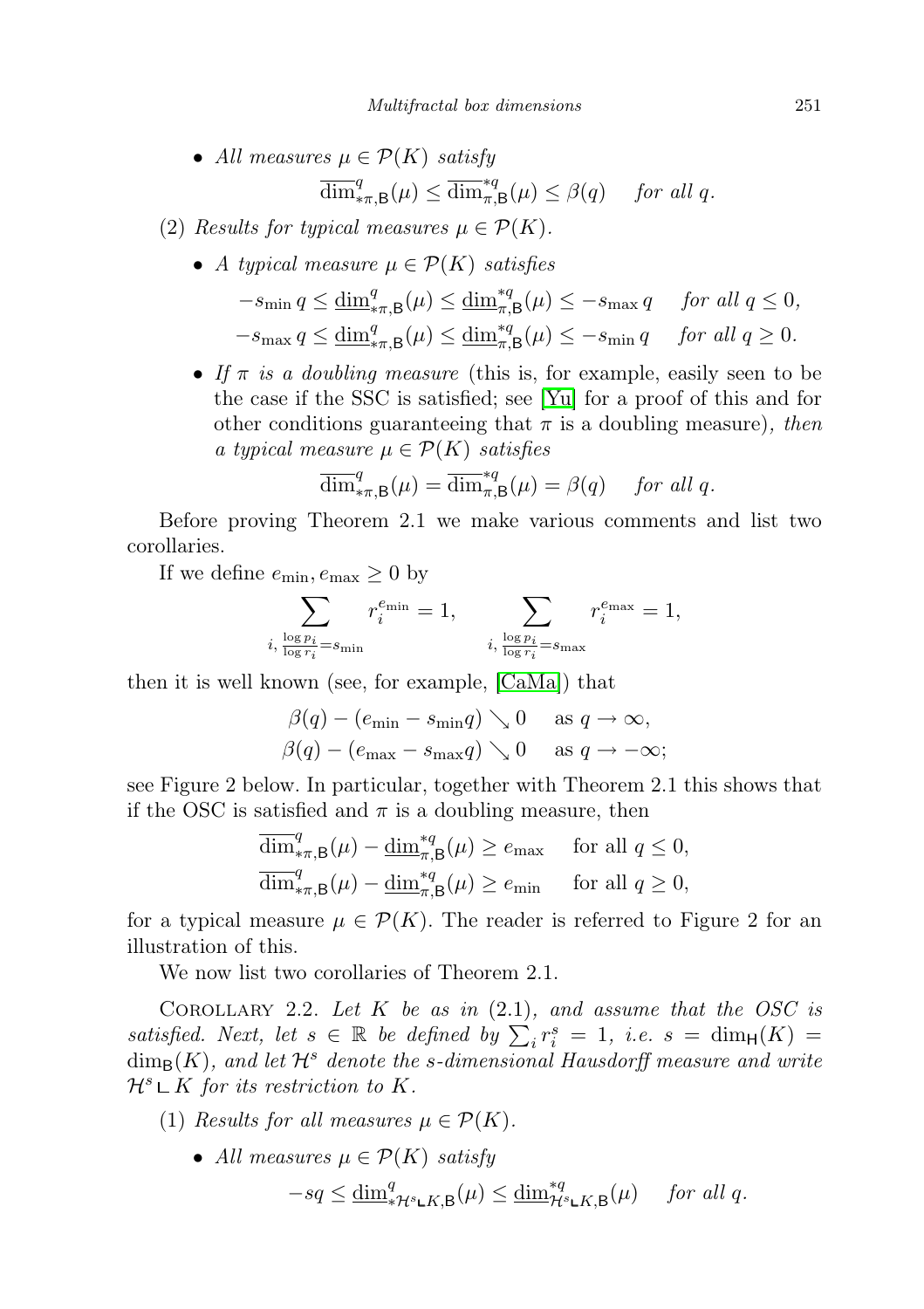- All measures  $\mu \in \mathcal{P}(K)$  satisfy  $\overline{\dim}_{\pi,\mathsf{B}}^q(\mu) \leq \overline{\dim}_{\pi,\mathsf{B}}^{\ast q}(\mu) \leq \beta(q) \quad \text{ for all } q.$
- (2) Results for typical measures  $\mu \in \mathcal{P}(K)$ .
	- A typical measure  $\mu \in \mathcal{P}(K)$  satisfies

$$
-s_{\min} q \le \underline{\dim}_{*\pi,\mathsf{B}}^q(\mu) \le \underline{\dim}_{\pi,\mathsf{B}}^{*q}(\mu) \le -s_{\max} q \quad \text{ for all } q \le 0,
$$
  

$$
-s_{\max} q \le \underline{\dim}_{*\pi,\mathsf{B}}^q(\mu) \le \underline{\dim}_{\pi,\mathsf{B}}^{*q}(\mu) \le -s_{\min} q \quad \text{ for all } q \ge 0.
$$

• If  $\pi$  is a doubling measure (this is, for example, easily seen to be the case if the SSC is satisfied; see [\[Yu\]](#page-21-9) for a proof of this and for other conditions guaranteeing that  $\pi$  is a doubling measure), then a typical measure  $\mu \in \mathcal{P}(K)$  satisfies

$$
\overline{\dim}_{*\pi,\mathsf{B}}^q(\mu) = \overline{\dim}_{\pi,\mathsf{B}}^{*q}(\mu) = \beta(q) \quad \text{ for all } q.
$$

Before proving Theorem 2.1 we make various comments and list two corollaries.

If we define  $e_{\min}, e_{\max} \geq 0$  by

$$
\sum_{i,\, \frac{\log p_i}{\log r_i} = s_{\min}} r_i^{e_{\min}} = 1, \qquad \sum_{i,\, \frac{\log p_i}{\log r_i} = s_{\max}} r_i^{e_{\max}} = 1,
$$

then it is well known (see, for example, [\[CaMa\]](#page-20-1)) that

$$
\begin{aligned}\n\beta(q) - (e_{\min} - s_{\min}q) &\searrow 0 \quad \text{as } q \to \infty, \\
\beta(q) - (e_{\max} - s_{\max}q) &\searrow 0 \quad \text{as } q \to -\infty;\n\end{aligned}
$$

see Figure 2 below. In particular, together with Theorem 2.1 this shows that if the OSC is satisfied and  $\pi$  is a doubling measure, then

$$
\overline{\dim}_{*\pi,\mathsf{B}}^q(\mu) - \underline{\dim}_{\pi,\mathsf{B}}^{*q}(\mu) \ge e_{\max} \quad \text{ for all } q \le 0,
$$
  

$$
\overline{\dim}_{*\pi,\mathsf{B}}^q(\mu) - \underline{\dim}_{\pi,\mathsf{B}}^{*q}(\mu) \ge e_{\min} \quad \text{ for all } q \ge 0,
$$

for a typical measure  $\mu \in \mathcal{P}(K)$ . The reader is referred to Figure 2 for an illustration of this.

We now list two corollaries of Theorem 2.1.

COROLLARY 2.2. Let K be as in  $(2.1)$ , and assume that the OSC is satisfied. Next, let  $s \in \mathbb{R}$  be defined by  $\sum_{i}^{} r_i^s = 1$ , i.e.  $s = \dim_{\mathsf{H}}(K) =$  $\dim_B(K)$ , and let  $\mathcal{H}^s$  denote the s-dimensional Hausdorff measure and write  $\mathcal{H}^s \mathop{\rule[0pt]{.5pt}{1.5pt}\rule[0pt]{0pt}{1.5pt}}\nolimits$  K for its restriction to K.

- (1) Results for all measures  $\mu \in \mathcal{P}(K)$ .
	- All measures  $\mu \in \mathcal{P}(K)$  satisfy

$$
-sq \le \underline{\dim}^q_{* \mathcal{H}^s \mathsf{L} K, \mathsf{B}}(\mu) \le \underline{\dim}^{*q}_{\mathcal{H}^s \mathsf{L} K, \mathsf{B}}(\mu) \quad \text{ for all } q.
$$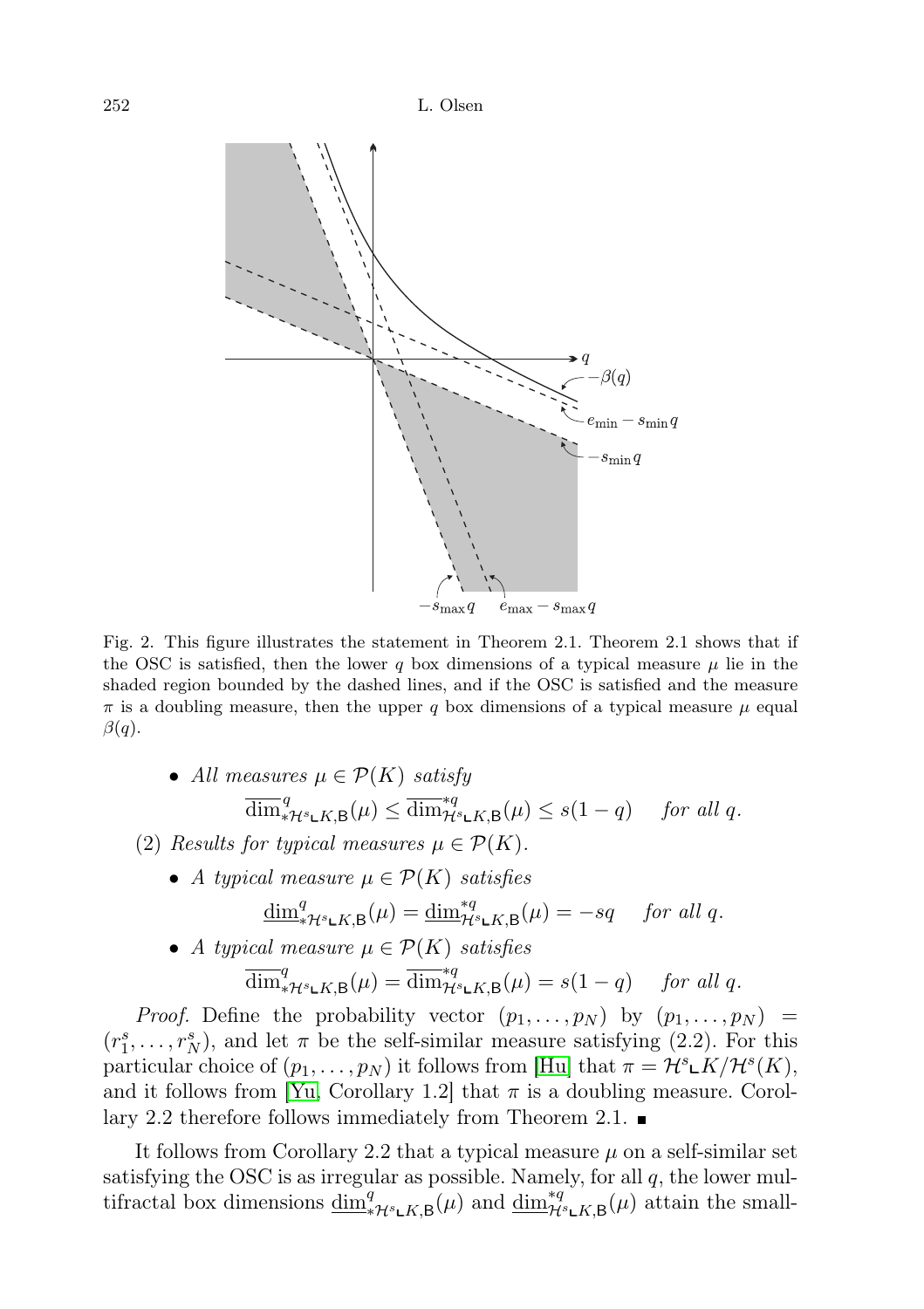

Fig. 2. This figure illustrates the statement in Theorem 2.1. Theorem 2.1 shows that if the OSC is satisfied, then the lower q box dimensions of a typical measure  $\mu$  lie in the shaded region bounded by the dashed lines, and if the OSC is satisfied and the measure  $\pi$  is a doubling measure, then the upper q box dimensions of a typical measure  $\mu$  equal  $\beta(q)$ .

- All measures  $\mu \in \mathcal{P}(K)$  satisfy  $\overline{\dim}_{\mathscr{A}H^s\mathsf{L}K,\mathsf{B}}^q(\mu) \leq \overline{\dim}_{\mathcal{H}^s\mathsf{L}K,\mathsf{B}}^{\mathscr{A}q}(\mu) \leq s(1-q) \quad \text{ for all } q.$
- (2) Results for typical measures  $\mu \in \mathcal{P}(K)$ .
	- A typical measure  $\mu \in \mathcal{P}(K)$  satisfies

$$
\underline{\dim}_{*{\mathcal{H}}^{s}\mathsf{L}K,\mathsf{B}}^{q}(\mu) = \underline{\dim}_{{\mathcal{H}}^{s}\mathsf{L}K,\mathsf{B}}^{*q}(\mu) = -sq \quad \text{for all } q.
$$

• A typical measure  $\mu \in \mathcal{P}(K)$  satisfies

$$
\overline{\dim}_{*{\mathcal H}^s\mathbf L K, \mathsf B}^q(\mu)=\overline{\dim}_{{\mathcal H}^s\mathbf L K, \mathsf B}^{\ast q}(\mu)=s(1-q)\quad\text{ for all }q.
$$

*Proof.* Define the probability vector  $(p_1, \ldots, p_N)$  by  $(p_1, \ldots, p_N)$  $(r_1^s, \ldots, r_N^s)$ , and let  $\pi$  be the self-similar measure satisfying (2.2). For this particular choice of  $(p_1, \ldots, p_N)$  it follows from [\[Hu\]](#page-21-8) that  $\pi = \mathcal{H}^s \mathsf{L}K/\mathcal{H}^s(K)$ , and it follows from [\[Yu,](#page-21-9) Corollary 1.2] that  $\pi$  is a doubling measure. Corollary 2.2 therefore follows immediately from Theorem 2.1.

It follows from Corollary 2.2 that a typical measure  $\mu$  on a self-similar set satisfying the OSC is as irregular as possible. Namely, for all  $q$ , the lower multifractal box dimensions  $\underline{\dim}_{*}^q$ <sub> $\mathcal{H}_s$ </sub> $\overline{\mathbf{L}}(k, \mathbf{B})$  and  $\underline{\dim}_{\mathcal{H}_s}^{*q}$  $\mathbf{L}_{K,\mathbf{B}}(\mu)$  attain the small-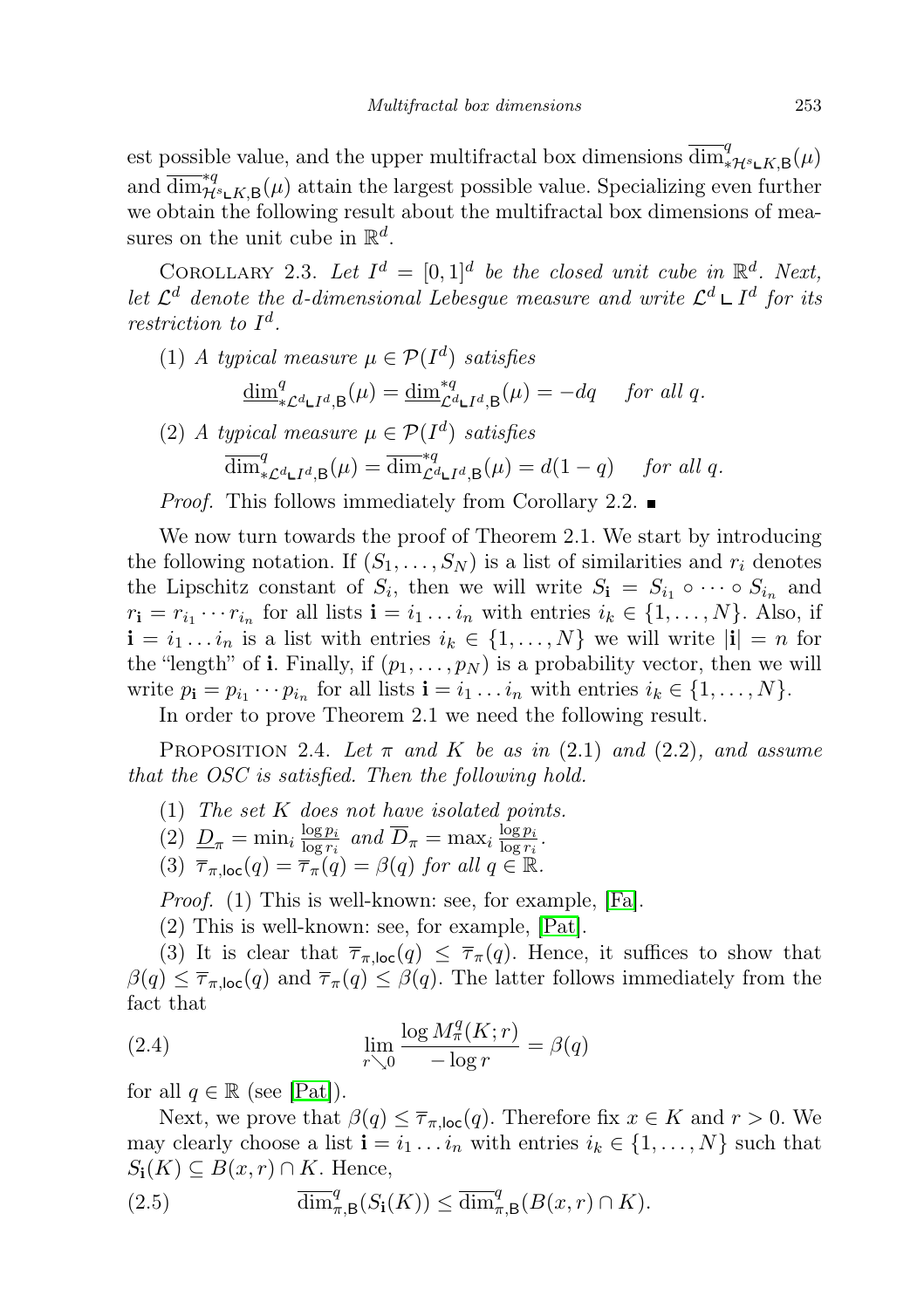est possible value, and the upper multifractal box dimensions  $\overline{\dim}_{*\mathcal{H}^s \mathsf{L} K, \mathsf{B}}^q(\mu)$ and  $\overline{\dim}_{\mathcal{H}^s\mathsf{L}^K,\mathsf{B}}(\mu)$  attain the largest possible value. Specializing even further we obtain the following result about the multifractal box dimensions of measures on the unit cube in  $\mathbb{R}^d$ .

COROLLARY 2.3. Let  $I^d = [0,1]^d$  be the closed unit cube in  $\mathbb{R}^d$ . Next, let  $\mathcal{L}^d$  denote the d-dimensional Lebesgue measure and write  $\mathcal{L}^d \sqcup I^d$  for its restriction to  $I^d$ .

(1) A typical measure  $\mu \in \mathcal{P}(I^d)$  satisfies

$$
\underline{\dim}_{*\mathcal{L}^d \mathsf{L} I^d, \mathsf{B}}^q(\mu) = \underline{\dim}_{\mathcal{L}^d \mathsf{L} I^d, \mathsf{B}}^{*q}(\mu) = -dq \quad \text{ for all } q.
$$

(2) A typical measure  $\mu \in \mathcal{P}(I^d)$  satisfies  $\overline{\dim}_{*\mathcal{L}^d \mathsf{L} I^d, \mathsf{B}}^q(\mu) = \overline{\dim}_{\mathcal{L}^d \mathsf{L} I^d, \mathsf{B}}^{\ast q}(\mu) = d(1-q) \quad \text{ for all } q.$ 

*Proof.* This follows immediately from Corollary 2.2.

We now turn towards the proof of Theorem 2.1. We start by introducing the following notation. If  $(S_1, \ldots, S_N)$  is a list of similarities and  $r_i$  denotes the Lipschitz constant of  $S_i$ , then we will write  $S_i = S_{i_1} \circ \cdots \circ S_{i_n}$  and  $r_{\mathbf{i}} = r_{i_1} \cdots r_{i_n}$  for all lists  $\mathbf{i} = i_1 \ldots i_n$  with entries  $i_k \in \{1, \ldots, N\}$ . Also, if  $\mathbf{i} = i_1 \dots i_n$  is a list with entries  $i_k \in \{1, \dots, N\}$  we will write  $|\mathbf{i}| = n$  for the "length" of **i**. Finally, if  $(p_1, \ldots, p_N)$  is a probability vector, then we will write  $p_{\mathbf{i}} = p_{i_1} \cdots p_{i_n}$  for all lists  $\mathbf{i} = i_1 \ldots i_n$  with entries  $i_k \in \{1, \ldots, N\}$ .

In order to prove Theorem 2.1 we need the following result.

PROPOSITION 2.4. Let  $\pi$  and K be as in (2.1) and (2.2), and assume that the OSC is satisfied. Then the following hold.

- (1) The set K does not have isolated points.
- (2)  $\underline{D}_{\pi} = \min_i \frac{\log p_i}{\log r_i}$  $\frac{\log p_i}{\log r_i}$  and  $\overline{D}_{\pi} = \max_i \frac{\log p_i}{\log r_i}$  $\frac{\log p_i}{\log r_i}$ .
- (3)  $\overline{\tau}_{\pi \text{loc}}(q) = \overline{\tau}_{\pi}(q) = \beta(q)$  for all  $q \in \mathbb{R}$ .

Proof. (1) This is well-known: see, for example, [\[Fa\]](#page-21-0).

(2) This is well-known: see, for example, [\[Pat\]](#page-21-10).

(3) It is clear that  $\overline{\tau}_{\pi,\text{loc}}(q) \leq \overline{\tau}_{\pi}(q)$ . Hence, it suffices to show that  $\beta(q) \leq \overline{\tau}_{\pi,\text{loc}}(q)$  and  $\overline{\tau}_{\pi}(q) \leq \beta(q)$ . The latter follows immediately from the fact that

(2.4) 
$$
\lim_{r \searrow 0} \frac{\log M_\pi^q(K; r)}{-\log r} = \beta(q)
$$

for all  $q \in \mathbb{R}$  (see [\[Pat\]](#page-21-10)).

Next, we prove that  $\beta(q) \leq \overline{\tau}_{\pi,\text{loc}}(q)$ . Therefore fix  $x \in K$  and  $r > 0$ . We may clearly choose a list  $\mathbf{i} = i_1 \dots i_n$  with entries  $i_k \in \{1, \dots, N\}$  such that  $S_i(K) \subseteq B(x,r) \cap K$ . Hence,

(2.5) 
$$
\overline{\dim}^q_{\pi,\mathsf{B}}(S_{\mathbf{i}}(K)) \leq \overline{\dim}^q_{\pi,\mathsf{B}}(B(x,r) \cap K).
$$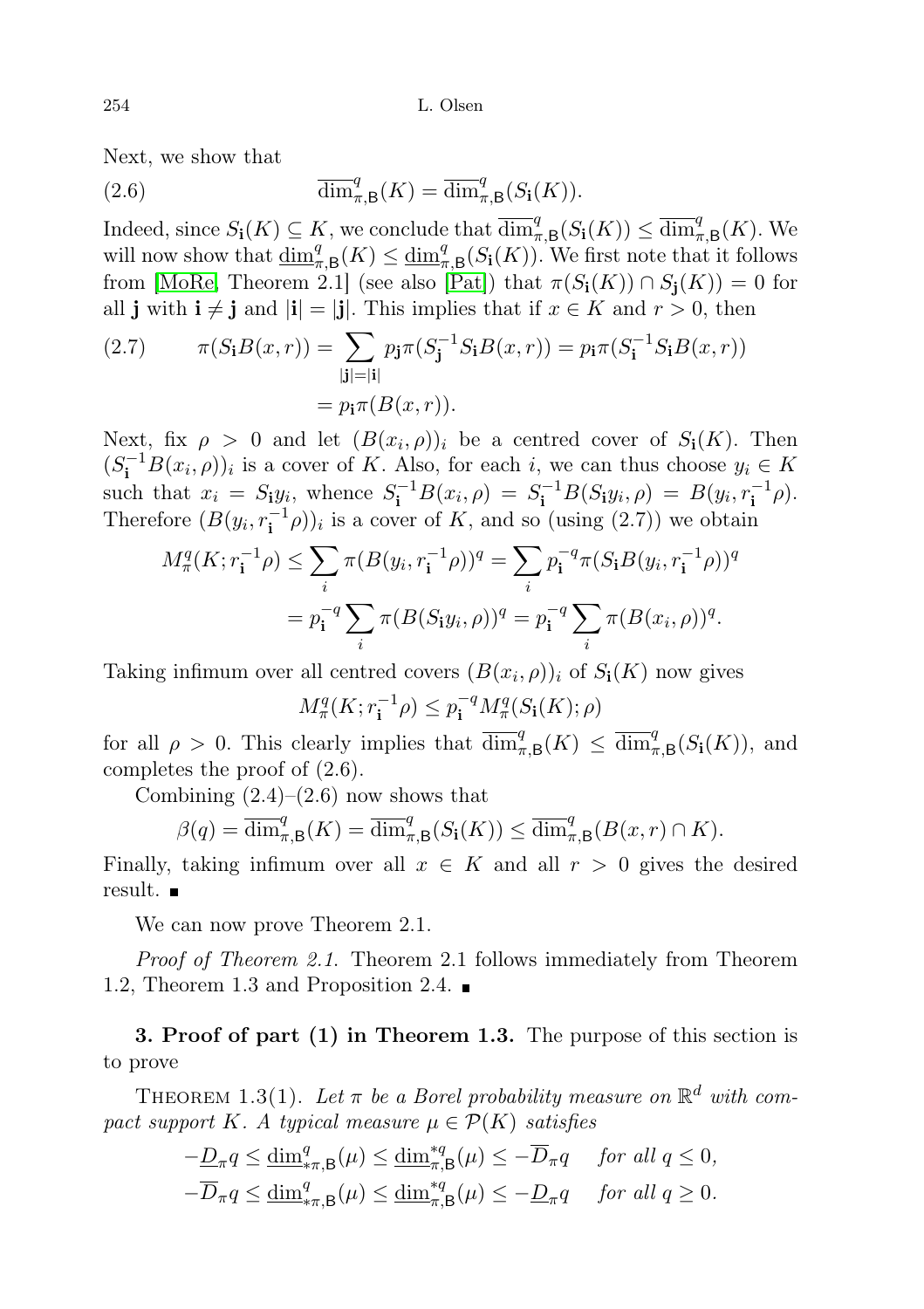Next, we show that

(2.6) 
$$
\overline{\dim}_{\pi,\mathsf{B}}^q(K) = \overline{\dim}_{\pi,\mathsf{B}}^q(S_{\mathbf{i}}(K)).
$$

Indeed, since  $S_i(K) \subseteq K$ , we conclude that  $\overline{\dim}_{\pi,\mathsf{B}}^q(S_i(K)) \leq \overline{\dim}_{\pi,\mathsf{B}}^q(K)$ . We will now show that  $\underline{\dim}_{\pi,B}^q(K) \leq \underline{\dim}_{\pi,B}^q(S_i(K))$ . We first note that it follows from [\[MoRe,](#page-21-11) Theorem 2.1] (see also [\[Pat\]](#page-21-10)) that  $\pi(S_i(K)) \cap S_i(K)) = 0$  for all j with  $i \neq j$  and  $|i| = |j|$ . This implies that if  $x \in K$  and  $r > 0$ , then

(2.7) 
$$
\pi(S_{\mathbf{i}}B(x,r)) = \sum_{|\mathbf{j}|=|\mathbf{i}|} p_{\mathbf{j}} \pi(S_{\mathbf{j}}^{-1}S_{\mathbf{i}}B(x,r)) = p_{\mathbf{i}} \pi(S_{\mathbf{i}}^{-1}S_{\mathbf{i}}B(x,r))
$$

$$
= p_{\mathbf{i}} \pi(B(x,r)).
$$

Next, fix  $\rho > 0$  and let  $(B(x_i, \rho))_i$  be a centred cover of  $S_i(K)$ . Then  $(S_i^{-1}B(x_i, \rho))_i$  is a cover of K. Also, for each i, we can thus choose  $y_i \in K$ such that  $x_i = S_i y_i$ , whence  $S_i^{-1} B(x_i, \rho) = S_i^{-1} B(S_i y_i, \rho) = B(y_i, r_i^{-1} \rho)$ . Therefore  $(B(y_i, r_i^{-1}\rho))_i$  is a cover of K, and so (using  $(2.7)$ ) we obtain

$$
M_{\pi}^{q}(K; r_{\mathbf{i}}^{-1}\rho) \leq \sum_{i} \pi (B(y_{i}, r_{\mathbf{i}}^{-1}\rho))^{q} = \sum_{i} p_{\mathbf{i}}^{-q} \pi (S_{\mathbf{i}}B(y_{i}, r_{\mathbf{i}}^{-1}\rho))^{q}
$$

$$
= p_{\mathbf{i}}^{-q} \sum_{i} \pi (B(S_{\mathbf{i}}y_{i}, \rho))^{q} = p_{\mathbf{i}}^{-q} \sum_{i} \pi (B(x_{i}, \rho))^{q}.
$$

Taking infimum over all centred covers  $(B(x_i, \rho))_i$  of  $S_i(K)$  now gives

$$
M_\pi^q(K;r_\mathbf{i}^{-1}\rho)\leq p_\mathbf{i}^{-q}M_\pi^q(S_\mathbf{i}(K);\rho)
$$

for all  $\rho > 0$ . This clearly implies that  $\overline{\dim}_{\pi,B}^q(K) \leq \overline{\dim}_{\pi,B}^q(S_i(K))$ , and completes the proof of (2.6).

Combining  $(2.4)$ – $(2.6)$  now shows that

$$
\beta(q) = \overline{\dim}^q_{\pi,\mathsf{B}}(K) = \overline{\dim}^q_{\pi,\mathsf{B}}(S_{\mathbf{i}}(K)) \le \overline{\dim}^q_{\pi,\mathsf{B}}(B(x,r) \cap K).
$$

Finally, taking infimum over all  $x \in K$  and all  $r > 0$  gives the desired result.

We can now prove Theorem 2.1.

Proof of Theorem 2.1. Theorem 2.1 follows immediately from Theorem 1.2, Theorem 1.3 and Proposition 2.4.

3. Proof of part (1) in Theorem 1.3. The purpose of this section is to prove

THEOREM 1.3(1). Let  $\pi$  be a Borel probability measure on  $\mathbb{R}^d$  with compact support K. A typical measure  $\mu \in \mathcal{P}(K)$  satisfies

$$
-\underline{D}_{\pi}q \le \underline{\dim}^q_{*\pi,\mathsf{B}}(\mu) \le \underline{\dim}^{*q}_{\pi,\mathsf{B}}(\mu) \le -\overline{D}_{\pi}q \quad \text{ for all } q \le 0,
$$
  

$$
-\overline{D}_{\pi}q \le \underline{\dim}^q_{*\pi,\mathsf{B}}(\mu) \le \underline{\dim}^{*q}_{\pi,\mathsf{B}}(\mu) \le -\underline{D}_{\pi}q \quad \text{ for all } q \ge 0.
$$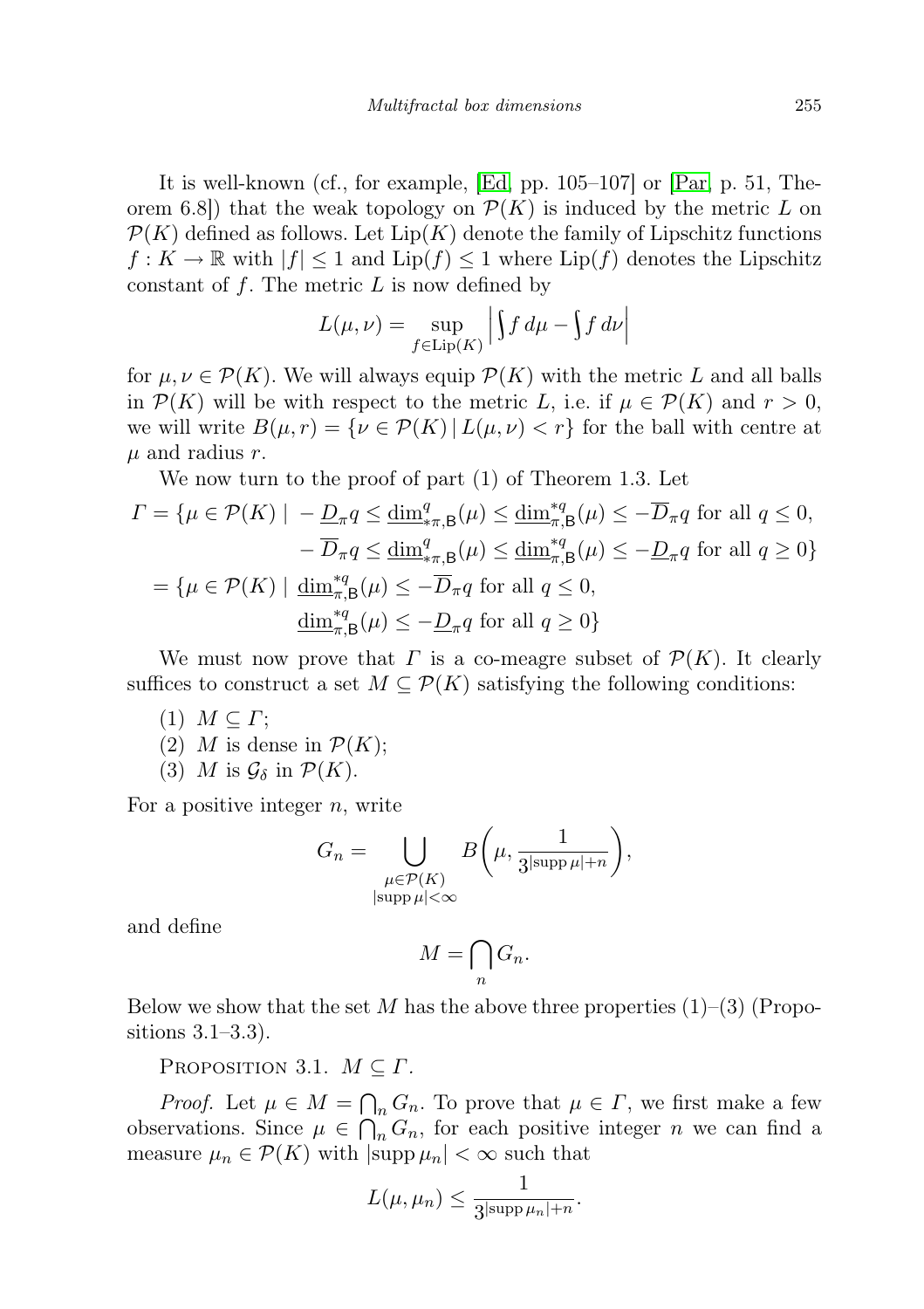It is well-known (cf., for example, [\[Ed,](#page-20-2) pp. 105–107] or [\[Par,](#page-21-12) p. 51, Theorem 6.8) that the weak topology on  $\mathcal{P}(K)$  is induced by the metric L on  $\mathcal{P}(K)$  defined as follows. Let  $\text{Lip}(K)$  denote the family of Lipschitz functions  $f: K \to \mathbb{R}$  with  $|f| \leq 1$  and  $\text{Lip}(f) \leq 1$  where  $\text{Lip}(f)$  denotes the Lipschitz constant of  $f$ . The metric  $L$  is now defined by

$$
L(\mu, \nu) = \sup_{f \in \text{Lip}(K)} \left| \int f \, d\mu - \int f \, d\nu \right|
$$

for  $\mu, \nu \in \mathcal{P}(K)$ . We will always equip  $\mathcal{P}(K)$  with the metric L and all balls in  $\mathcal{P}(K)$  will be with respect to the metric L, i.e. if  $\mu \in \mathcal{P}(K)$  and  $r > 0$ , we will write  $B(\mu, r) = \{ \nu \in \mathcal{P}(K) | L(\mu, \nu) < r \}$  for the ball with centre at  $\mu$  and radius r.

We now turn to the proof of part (1) of Theorem 1.3. Let

$$
\Gamma = \{ \mu \in \mathcal{P}(K) \mid -\underline{D}_{\pi} q \le \underline{\dim}^q_{\pi, \mathsf{B}}(\mu) \le \underline{\dim}^{\ast q}_{\pi, \mathsf{B}}(\mu) \le -\overline{D}_{\pi} q \text{ for all } q \le 0, \n- \overline{D}_{\pi} q \le \underline{\dim}^q_{\pi, \mathsf{B}}(\mu) \le \underline{\dim}^{\ast q}_{\pi, \mathsf{B}}(\mu) \le -\underline{D}_{\pi} q \text{ for all } q \ge 0 \}
$$
\n
$$
= \{ \mu \in \mathcal{P}(K) \mid \underline{\dim}^{\ast q}_{\pi, \mathsf{B}}(\mu) \le -\overline{D}_{\pi} q \text{ for all } q \le 0, \n\underline{\dim}^{\ast q}_{\pi, \mathsf{B}}(\mu) \le -\underline{D}_{\pi} q \text{ for all } q \ge 0 \}
$$

We must now prove that  $\Gamma$  is a co-meagre subset of  $\mathcal{P}(K)$ . It clearly suffices to construct a set  $M \subseteq \mathcal{P}(K)$  satisfying the following conditions:

- $(1)$   $M \subset \Gamma$ ;
- (2) M is dense in  $\mathcal{P}(K)$ ;
- (3) M is  $\mathcal{G}_{\delta}$  in  $\mathcal{P}(K)$ .

For a positive integer  $n$ , write

$$
G_n = \bigcup_{\substack{\mu \in \mathcal{P}(K) \\ |\text{supp }\mu| < \infty}} B\left(\mu, \frac{1}{3^{|\text{supp }\mu|+n}}\right),
$$

and define

$$
M = \bigcap_n G_n.
$$

Below we show that the set M has the above three properties  $(1)$ – $(3)$  (Propositions 3.1–3.3).

PROPOSITION 3.1.  $M \subseteq \Gamma$ .

*Proof.* Let  $\mu \in M = \bigcap_n G_n$ . To prove that  $\mu \in \Gamma$ , we first make a few observations. Since  $\mu \in \bigcap_n G_n$ , for each positive integer n we can find a measure  $\mu_n \in \mathcal{P}(K)$  with  $|\text{supp }\mu_n| < \infty$  such that

$$
L(\mu,\mu_n)\leq \frac{1}{3^{|\mathrm{supp}\,\mu_n|+n}}.
$$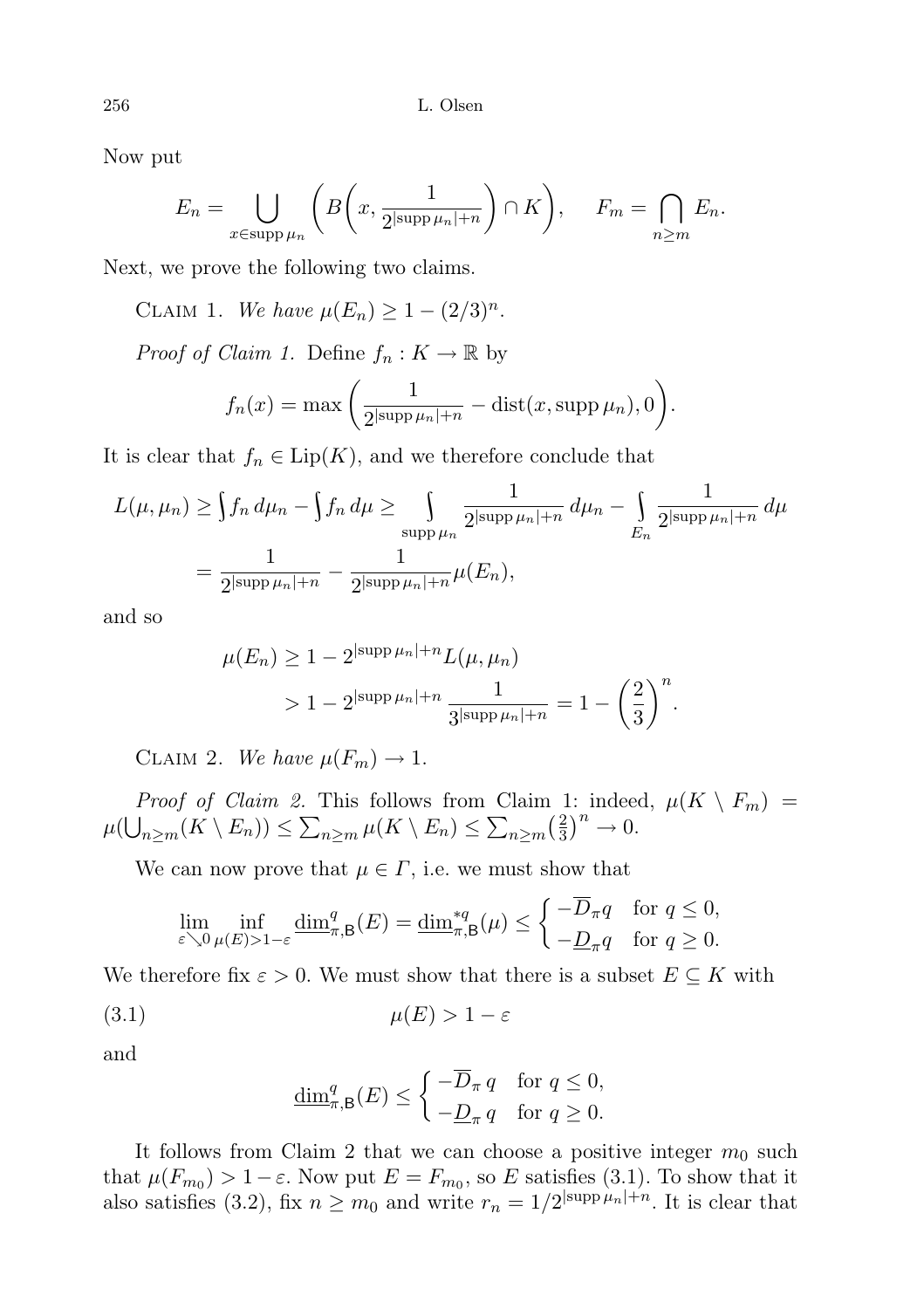Now put

$$
E_n = \bigcup_{x \in \text{supp}\,\mu_n} \left( B\left(x, \frac{1}{2^{|\text{supp}\,\mu_n|+n}}\right) \cap K\right), \quad F_m = \bigcap_{n \ge m} E_n.
$$

Next, we prove the following two claims.

CLAIM 1. We have  $\mu(E_n) \geq 1 - (2/3)^n$ .

*Proof of Claim 1.* Define  $f_n: K \to \mathbb{R}$  by

$$
f_n(x) = \max\left(\frac{1}{2^{|\text{supp }\mu_n|+n}} - \text{dist}(x, \text{supp }\mu_n), 0\right).
$$

It is clear that  $f_n \in \text{Lip}(K)$ , and we therefore conclude that

$$
L(\mu, \mu_n) \ge \int f_n d\mu_n - \int f_n d\mu \ge \int \limits_{\text{supp }\mu_n} \frac{1}{2^{|\text{supp }\mu_n|+n}} d\mu_n - \int \limits_{E_n} \frac{1}{2^{|\text{supp }\mu_n|+n}} d\mu
$$
  
= 
$$
\frac{1}{2^{|\text{supp }\mu_n|+n}} - \frac{1}{2^{|\text{supp }\mu_n|+n}} \mu(E_n),
$$

and so

$$
\mu(E_n) \ge 1 - 2^{|\text{supp}\,\mu_n| + n} L(\mu, \mu_n)
$$
  
> 1 - 2^{|\text{supp}\,\mu\_n| + n} \frac{1}{3^{|\text{supp}\,\mu\_n| + n}} = 1 - \left(\frac{2}{3}\right)^n.

CLAIM 2. We have  $\mu(F_m) \to 1$ .

*Proof of Claim 2.* This follows from Claim 1: indeed,  $\mu(K \setminus F_m)$  =  $\mu(\bigcup_{n\geq m}(K\setminus E_n))\leq \sum_{n\geq m}\mu(K\setminus E_n)\leq \sum_{n\geq m}\left(\frac{2}{3}\right)$  $\frac{2}{3}$  $\big)^n \to 0.$ 

We can now prove that  $\mu \in \Gamma$ , i.e. we must show that

$$
\lim_{\varepsilon \searrow 0} \inf_{\mu(E) > 1-\varepsilon} \underline{\dim}^q_{\pi, \mathsf{B}}(E) = \underline{\dim}^{*q}_{\pi, \mathsf{B}}(\mu) \le \begin{cases} -\overline{D}_{\pi} q & \text{for } q \le 0, \\ -\underline{D}_{\pi} q & \text{for } q \ge 0. \end{cases}
$$

We therefore fix  $\varepsilon > 0$ . We must show that there is a subset  $E \subseteq K$  with

$$
\mu(E) > 1 - \varepsilon
$$

and

$$
\underline{\dim}^q_{\pi,\mathsf{B}}(E) \le \begin{cases} -\overline{D}_{\pi} \, q & \text{for } q \le 0, \\ -\underline{D}_{\pi} \, q & \text{for } q \ge 0. \end{cases}
$$

It follows from Claim 2 that we can choose a positive integer  $m_0$  such that  $\mu(F_{m_0}) > 1 - \varepsilon$ . Now put  $E = F_{m_0}$ , so E satisfies (3.1). To show that it also satisfies (3.2), fix  $n \geq m_0$  and write  $r_n = 1/2^{|\text{supp }\mu_n|+n}$ . It is clear that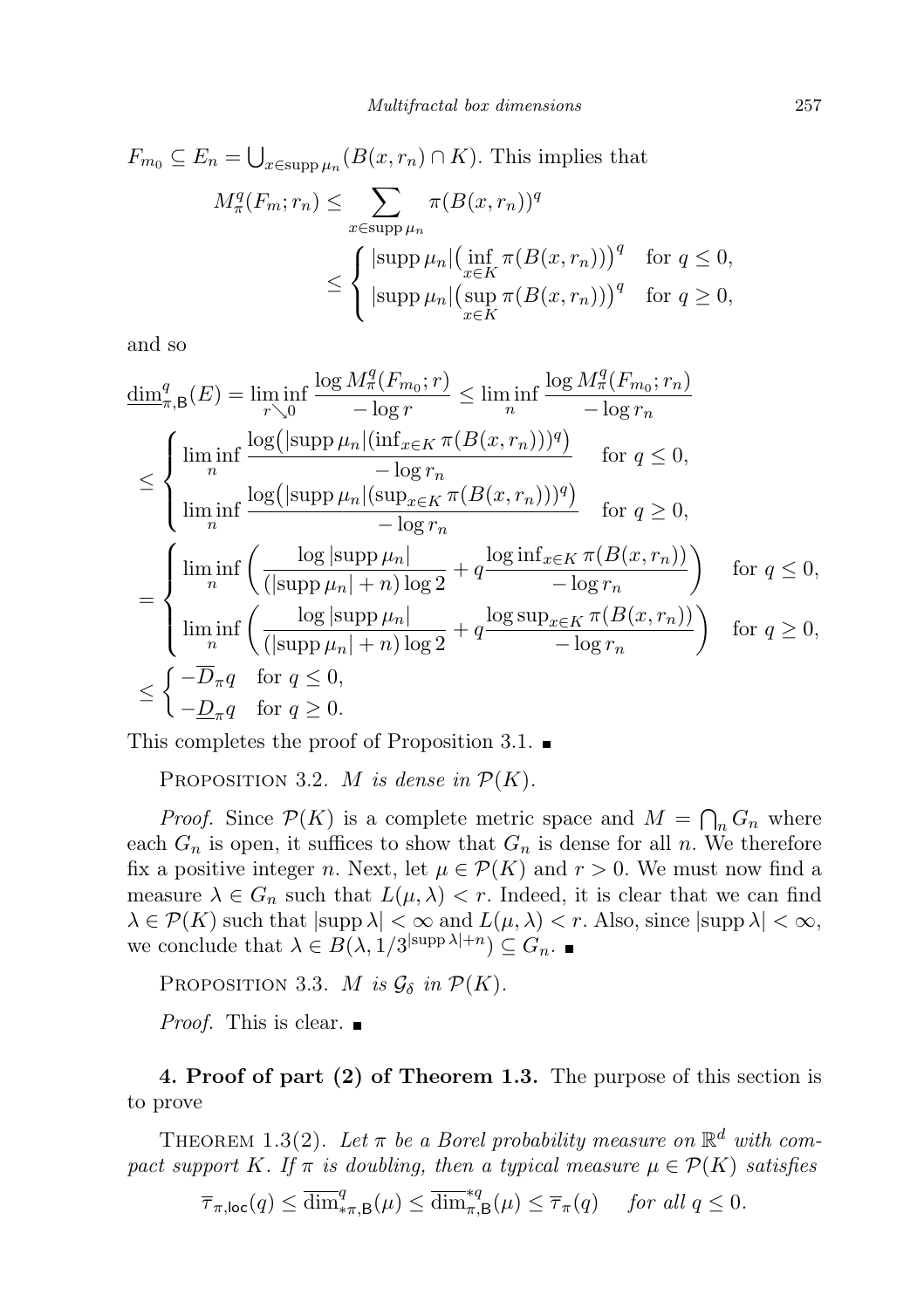$$
F_{m_0} \subseteq E_n = \bigcup_{x \in \text{supp}\,\mu_n} (B(x, r_n) \cap K). \text{ This implies that}
$$

$$
M_\pi^q(F_m; r_n) \le \sum_{x \in \text{supp}\,\mu_n} \pi(B(x, r_n))^q
$$

$$
\le \begin{cases} |\text{supp}\,\mu_n| \left(\inf_{x \in K} \pi(B(x, r_n))\right)^q & \text{for } q \le 0, \\ |\text{supp}\,\mu_n| \left(\sup_{x \in K} \pi(B(x, r_n))\right)^q & \text{for } q \ge 0, \\ \end{cases}
$$

and so

$$
\underline{\dim}_{\pi,B}^{q}(E) = \liminf_{r \searrow 0} \frac{\log M_{\pi}^{q}(F_{m_{0}}; r)}{-\log r} \leq \liminf_{n} \frac{\log M_{\pi}^{q}(F_{m_{0}}; r_{n})}{-\log r_{n}}
$$
\n
$$
\leq \begin{cases}\n\liminf_{n} \frac{\log(|\text{supp}\,\mu_{n}|(\inf_{x \in K} \pi(B(x, r_{n})))^{q})}{-\log r_{n}} & \text{for } q \leq 0, \\
\liminf_{n} \frac{\log(|\text{supp}\,\mu_{n}|(\sup_{x \in K} \pi(B(x, r_{n})))^{q})}{-\log r_{n}} & \text{for } q \geq 0,\n\end{cases}
$$
\n
$$
= \begin{cases}\n\liminf_{n} \left(\frac{\log|\text{supp}\,\mu_{n}|}{(|\text{supp}\,\mu_{n}| + n)\log 2} + q \frac{\log \inf_{x \in K} \pi(B(x, r_{n}))}{-\log r_{n}}\right) & \text{for } q \leq 0, \\
\liminf_{n} \left(\frac{\log|\text{supp}\,\mu_{n}|}{(|\text{supp}\,\mu_{n}| + n)\log 2} + q \frac{\log \text{sup}_{x \in K} \pi(B(x, r_{n}))}{-\log r_{n}}\right) & \text{for } q \geq 0, \\
-\overline{D}_{\pi}q & \text{for } q \leq 0, \\
-\underline{D}_{\pi}q & \text{for } q \geq 0.\n\end{cases}
$$

This completes the proof of Proposition 3.1.  $\blacksquare$ 

PROPOSITION 3.2. M is dense in  $\mathcal{P}(K)$ .

*Proof.* Since  $P(K)$  is a complete metric space and  $M = \bigcap_n G_n$  where each  $G_n$  is open, it suffices to show that  $G_n$  is dense for all n. We therefore fix a positive integer n. Next, let  $\mu \in \mathcal{P}(K)$  and  $r > 0$ . We must now find a measure  $\lambda \in G_n$  such that  $L(\mu, \lambda) < r$ . Indeed, it is clear that we can find  $\lambda \in \mathcal{P}(K)$  such that  $|\text{supp }\lambda| < \infty$  and  $L(\mu, \lambda) < r$ . Also, since  $|\text{supp }\lambda| < \infty$ , we conclude that  $\lambda \in B(\lambda, 1/3^{\text{supp }\lambda|+n}) \subseteq G_n$ .

PROPOSITION 3.3. M is  $\mathcal{G}_{\delta}$  in  $\mathcal{P}(K)$ .

*Proof.* This is clear.  $\blacksquare$ 

4. Proof of part (2) of Theorem 1.3. The purpose of this section is to prove

THEOREM 1.3(2). Let  $\pi$  be a Borel probability measure on  $\mathbb{R}^d$  with compact support K. If  $\pi$  is doubling, then a typical measure  $\mu \in \mathcal{P}(K)$  satisfies

$$
\overline{\tau}_{\pi,\text{loc}}(q) \le \overline{\dim}_{*\pi,\text{B}}^q(\mu) \le \overline{\dim}_{\pi,\text{B}}^{*q}(\mu) \le \overline{\tau}_{\pi}(q) \quad \text{ for all } q \le 0.
$$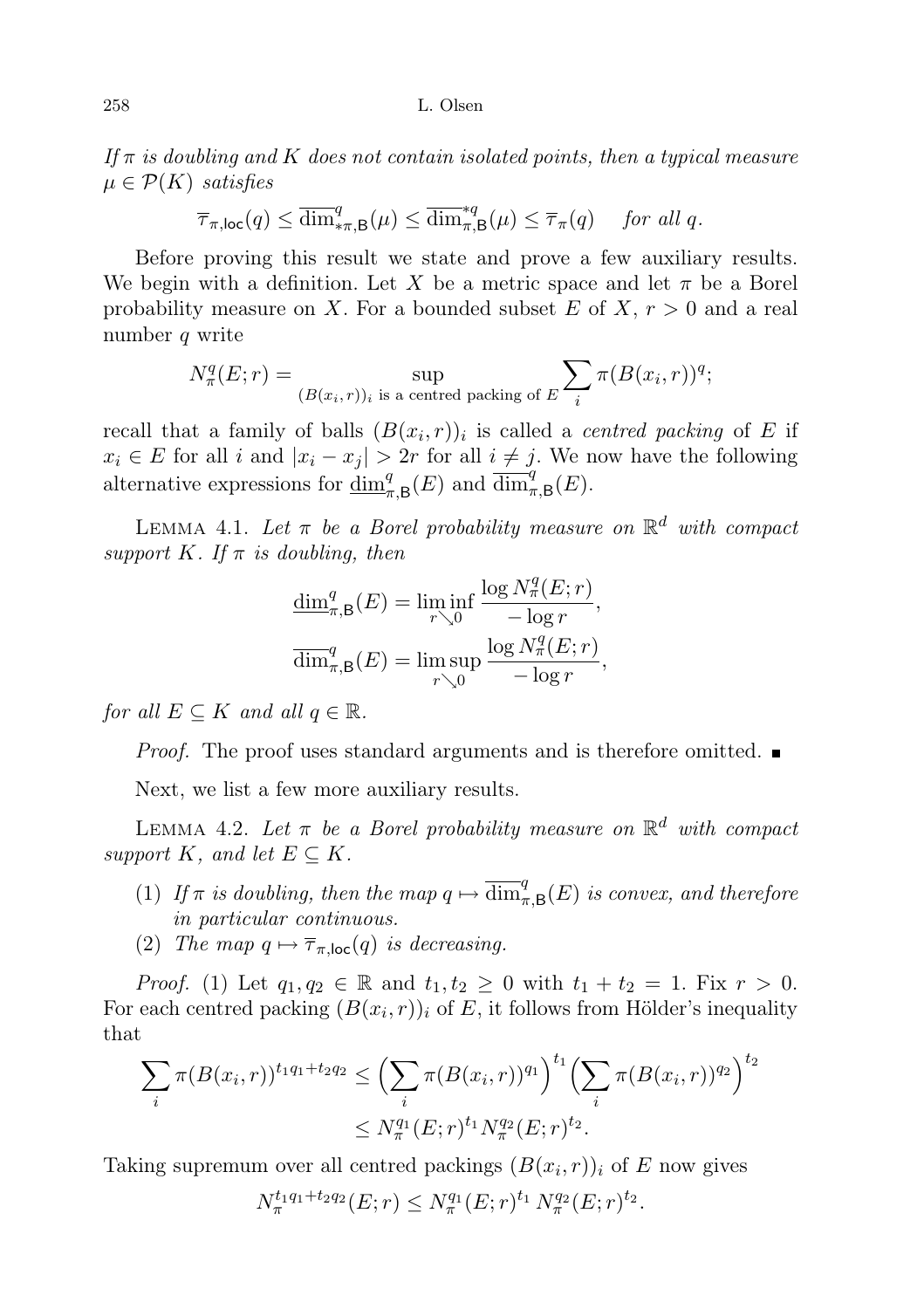If  $\pi$  is doubling and K does not contain isolated points, then a typical measure  $\mu \in \mathcal{P}(K)$  satisfies

$$
\overline{\tau}_{\pi,\text{loc}}(q) \le \overline{\dim}_{\ast\pi,B}^q(\mu) \le \overline{\dim}_{\pi,B}^{\ast q}(\mu) \le \overline{\tau}_{\pi}(q) \quad \text{ for all } q.
$$

Before proving this result we state and prove a few auxiliary results. We begin with a definition. Let X be a metric space and let  $\pi$  be a Borel probability measure on X. For a bounded subset E of X,  $r > 0$  and a real number q write

$$
N_{\pi}^{q}(E;r) = \sup_{(B(x_i,r))_i \text{ is a centred packing of } E} \sum_{i} \pi(B(x_i,r))^q;
$$

recall that a family of balls  $(B(x_i, r))_i$  is called a *centred packing* of E if  $x_i \in E$  for all i and  $|x_i - x_j| > 2r$  for all  $i \neq j$ . We now have the following alternative expressions for  $\underline{\dim}_{\pi,\mathsf{B}}^q(E)$  and  $\overline{\dim}_{\pi,\mathsf{B}}^q(E)$ .

LEMMA 4.1. Let  $\pi$  be a Borel probability measure on  $\mathbb{R}^d$  with compact support K. If  $\pi$  is doubling, then

$$
\frac{\dim_{\pi,\mathsf{B}}^q(E) = \liminf_{r \searrow 0} \frac{\log N_\pi^q(E; r)}{-\log r},
$$

$$
\overline{\dim}_{\pi,\mathsf{B}}^q(E) = \limsup_{r \searrow 0} \frac{\log N_\pi^q(E; r)}{-\log r},
$$

for all  $E \subseteq K$  and all  $q \in \mathbb{R}$ .

*Proof.* The proof uses standard arguments and is therefore omitted.  $\blacksquare$ 

Next, we list a few more auxiliary results.

LEMMA 4.2. Let  $\pi$  be a Borel probability measure on  $\mathbb{R}^d$  with compact support K, and let  $E \subseteq K$ .

- (1) If  $\pi$  is doubling, then the map  $q \mapsto \overline{\dim}_{\pi,\mathsf{B}}^q(E)$  is convex, and therefore in particular continuous.
- (2) The map  $q \mapsto \overline{\tau}_{\pi,\text{loc}}(q)$  is decreasing.

*Proof.* (1) Let  $q_1, q_2 \in \mathbb{R}$  and  $t_1, t_2 \geq 0$  with  $t_1 + t_2 = 1$ . Fix  $r > 0$ . For each centred packing  $(B(x_i, r))_i$  of E, it follows from Hölder's inequality that

$$
\sum_{i} \pi(B(x_i, r))^{t_1 q_1 + t_2 q_2} \leq \left(\sum_{i} \pi(B(x_i, r))^{q_1}\right)^{t_1} \left(\sum_{i} \pi(B(x_i, r))^{q_2}\right)^{t_2}
$$

$$
\leq N_{\pi}^{q_1}(E; r)^{t_1} N_{\pi}^{q_2}(E; r)^{t_2}.
$$

Taking supremum over all centred packings  $(B(x_i, r))_i$  of E now gives

$$
N_{\pi}^{t_1 q_1 + t_2 q_2}(E; r) \leq N_{\pi}^{q_1}(E; r)^{t_1} N_{\pi}^{q_2}(E; r)^{t_2}.
$$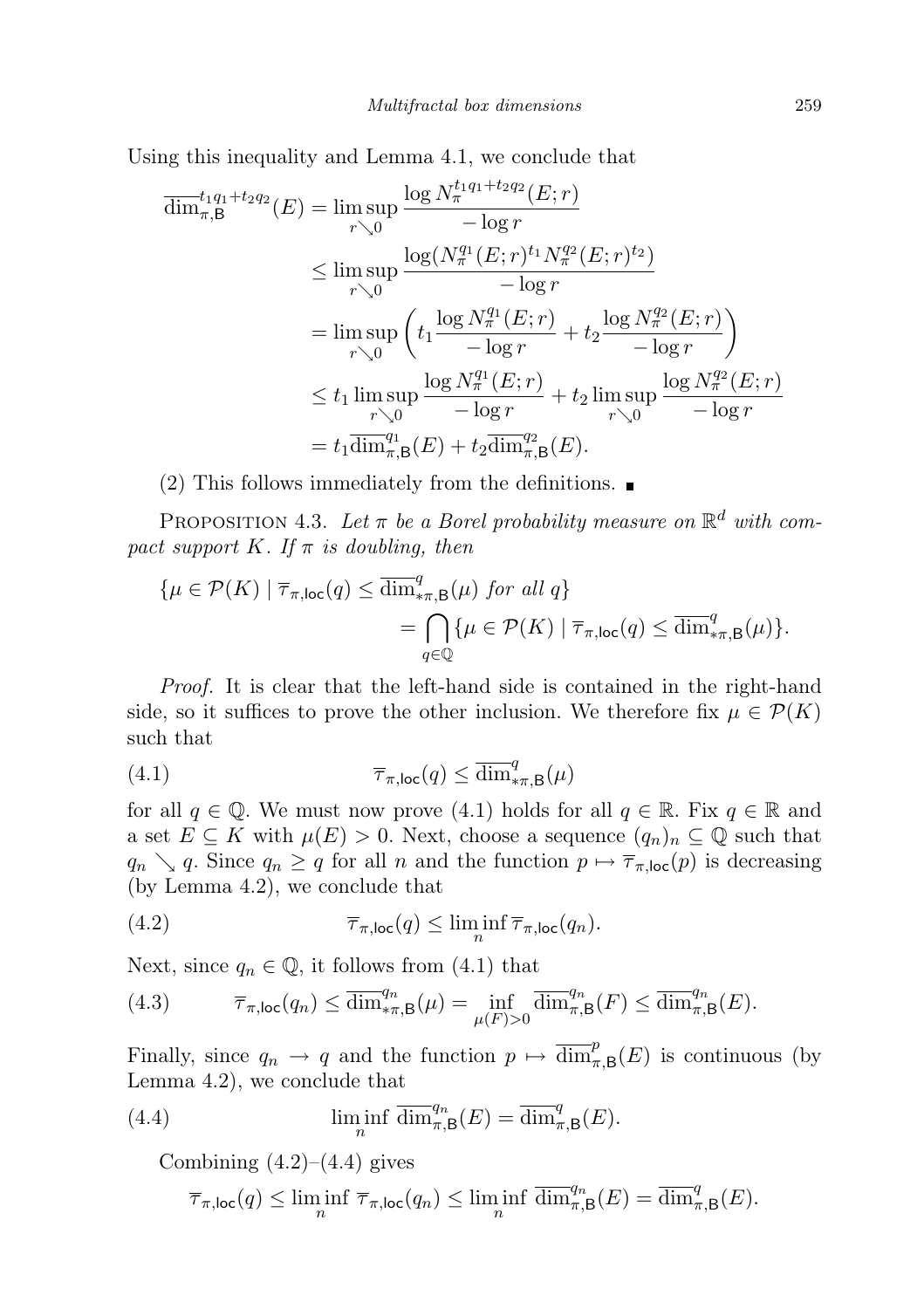Using this inequality and Lemma 4.1, we conclude that

$$
\overline{\dim}_{\pi,B}^{t_1q_1+t_2q_2}(E) = \limsup_{r \searrow 0} \frac{\log N_{\pi}^{t_1q_1+t_2q_2}(E;r)}{-\log r}
$$
\n
$$
\leq \limsup_{r \searrow 0} \frac{\log (N_{\pi}^{q_1}(E;r)^{t_1}N_{\pi}^{q_2}(E;r)^{t_2})}{-\log r}
$$
\n
$$
= \limsup_{r \searrow 0} \left( t_1 \frac{\log N_{\pi}^{q_1}(E;r)}{-\log r} + t_2 \frac{\log N_{\pi}^{q_2}(E;r)}{-\log r} \right)
$$
\n
$$
\leq t_1 \limsup_{r \searrow 0} \frac{\log N_{\pi}^{q_1}(E;r)}{-\log r} + t_2 \limsup_{r \searrow 0} \frac{\log N_{\pi}^{q_2}(E;r)}{-\log r}
$$
\n
$$
= t_1 \overline{\dim}_{\pi,B}^{q_1}(E) + t_2 \overline{\dim}_{\pi,B}^{q_2}(E).
$$

(2) This follows immediately from the definitions.  $\blacksquare$ 

PROPOSITION 4.3. Let  $\pi$  be a Borel probability measure on  $\mathbb{R}^d$  with compact support K. If  $\pi$  is doubling, then

$$
\{\mu \in \mathcal{P}(K) \mid \overline{\tau}_{\pi, \text{loc}}(q) \leq \overline{\dim}^q_{\pi, \mathsf{B}}(\mu) \text{ for all } q\}
$$
  
= 
$$
\bigcap_{q \in \mathbb{Q}} \{\mu \in \mathcal{P}(K) \mid \overline{\tau}_{\pi, \text{loc}}(q) \leq \overline{\dim}^q_{\pi, \mathsf{B}}(\mu)\}.
$$

Proof. It is clear that the left-hand side is contained in the right-hand side, so it suffices to prove the other inclusion. We therefore fix  $\mu \in \mathcal{P}(K)$ such that

(4.1) 
$$
\overline{\tau}_{\pi,\text{loc}}(q) \leq \overline{\dim}_{\pi,\mathsf{B}}^q(\mu)
$$

for all  $q \in \mathbb{Q}$ . We must now prove (4.1) holds for all  $q \in \mathbb{R}$ . Fix  $q \in \mathbb{R}$  and a set  $E \subseteq K$  with  $\mu(E) > 0$ . Next, choose a sequence  $(q_n)_n \subseteq \mathbb{Q}$  such that  $q_n \searrow q$ . Since  $q_n \geq q$  for all n and the function  $p \mapsto \overline{\tau}_{\pi,\text{loc}}(p)$  is decreasing (by Lemma 4.2), we conclude that

(4.2) 
$$
\overline{\tau}_{\pi,\text{loc}}(q) \leq \liminf_{n} \overline{\tau}_{\pi,\text{loc}}(q_n).
$$

Next, since  $q_n \in \mathbb{Q}$ , it follows from (4.1) that

(4.3) 
$$
\overline{\tau}_{\pi,\text{loc}}(q_n) \leq \overline{\dim}_{*\pi,\mathsf{B}}^{q_n}(\mu) = \inf_{\mu(F)>0} \overline{\dim}_{\pi,\mathsf{B}}^{q_n}(F) \leq \overline{\dim}_{\pi,\mathsf{B}}^{q_n}(E).
$$

Finally, since  $q_n \to q$  and the function  $p \mapsto \overline{\dim}_{\pi,\mathsf{B}}^p(E)$  is continuous (by Lemma 4.2), we conclude that

(4.4) 
$$
\liminf_{n} \overline{\dim}_{\pi,\mathsf{B}}^{q_n}(E) = \overline{\dim}_{\pi,\mathsf{B}}^{q}(E).
$$

Combining  $(4.2)$ – $(4.4)$  gives

$$
\overline{\tau}_{\pi,\text{loc}}(q) \le \liminf_{n} \overline{\tau}_{\pi,\text{loc}}(q_n) \le \liminf_{n} \overline{\dim}_{\pi,\mathsf{B}}^{q_n}(E) = \overline{\dim}_{\pi,\mathsf{B}}^{q}(E).
$$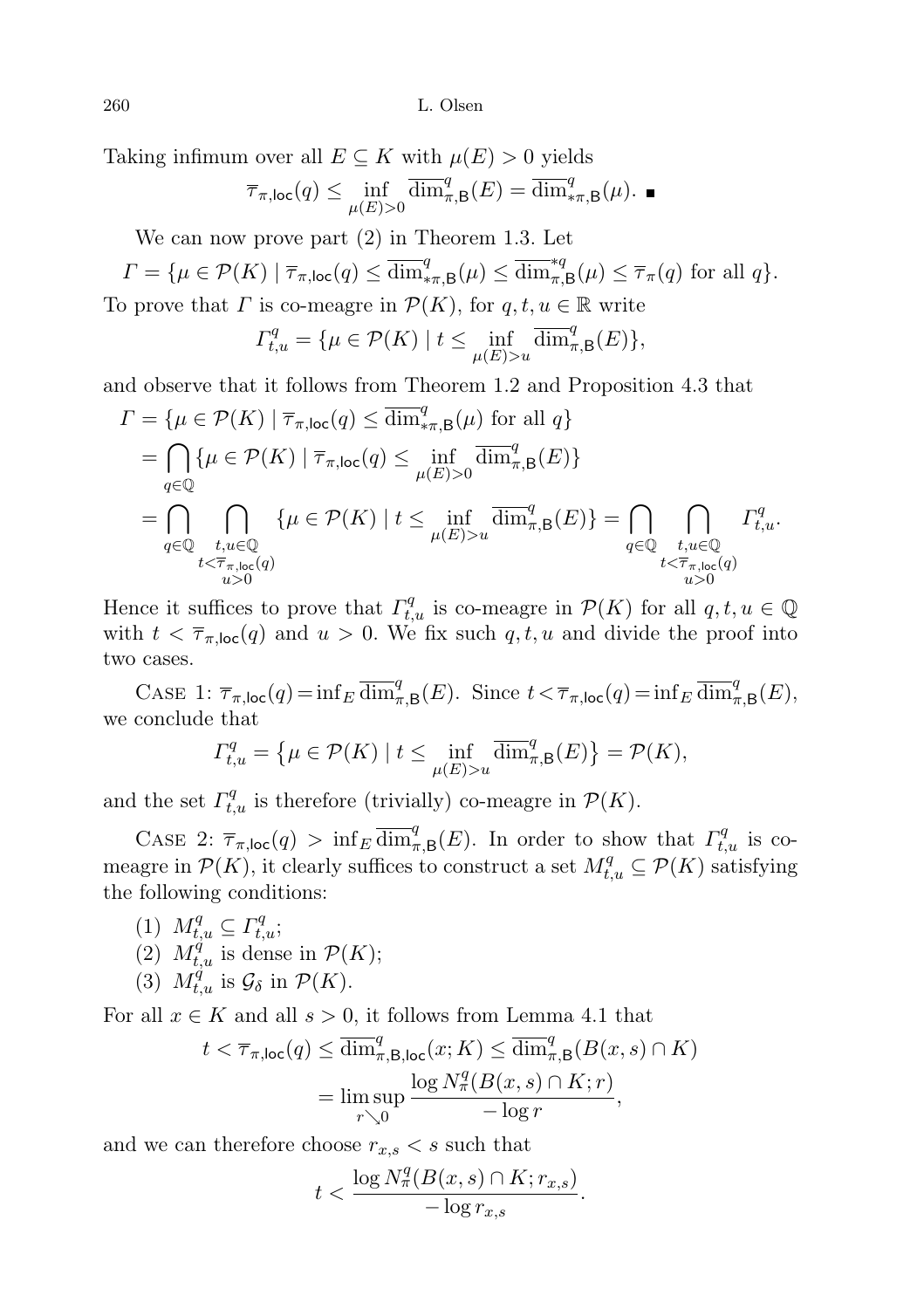Taking infimum over all  $E \subseteq K$  with  $\mu(E) > 0$  yields

$$
\overline{\tau}_{\pi,\text{loc}}(q) \le \inf_{\mu(E)>0} \overline{\dim}_{\pi,\mathsf{B}}^q(E) = \overline{\dim}_{\ast\pi,\mathsf{B}}^q(\mu).
$$

We can now prove part (2) in Theorem 1.3. Let

$$
\Gamma = \{ \mu \in \mathcal{P}(K) \mid \overline{\tau}_{\pi,\text{loc}}(q) \le \overline{\dim}^q_{*\pi,\mathsf{B}}(\mu) \le \overline{\dim}^{*q}_{\pi,\mathsf{B}}(\mu) \le \overline{\tau}_{\pi}(q) \text{ for all } q \}.
$$

To prove that  $\Gamma$  is co-meagre in  $\mathcal{P}(K)$ , for  $q, t, u \in \mathbb{R}$  write

$$
\Gamma_{t,u}^q = \{ \mu \in \mathcal{P}(K) \mid t \le \inf_{\mu(E) > u} \overline{\dim}_{\pi,B}^q(E) \},
$$

and observe that it follows from Theorem 1.2 and Proposition 4.3 that

$$
I = \{ \mu \in \mathcal{P}(K) \mid \overline{\tau}_{\pi, \text{loc}}(q) \le \overline{\dim}_{\pi, \mathcal{B}}^q(\mu) \text{ for all } q \}
$$
  
\n
$$
= \bigcap_{q \in \mathbb{Q}} \{ \mu \in \mathcal{P}(K) \mid \overline{\tau}_{\pi, \text{loc}}(q) \le \inf_{\mu(E) > 0} \overline{\dim}_{\pi, \mathcal{B}}^q(E) \}
$$
  
\n
$$
= \bigcap_{q \in \mathbb{Q}} \bigcap_{\substack{t, u \in \mathbb{Q} \\ t < \overline{\tau}_{\pi, \text{loc}}(q) \\ u > 0}} \{ \mu \in \mathcal{P}(K) \mid t \le \inf_{\mu(E) > u} \overline{\dim}_{\pi, \mathcal{B}}^q(E) \} = \bigcap_{\substack{q \in \mathbb{Q} \\ t < \overline{\tau}_{\pi, \text{loc}}(q) \\ u > 0}} I_{t, u}^q.
$$

Hence it suffices to prove that  $\Gamma_{t,u}^q$  is co-meagre in  $\mathcal{P}(K)$  for all  $q, t, u \in \mathbb{Q}$ with  $t < \overline{\tau}_{\pi,loc}(q)$  and  $u > 0$ . We fix such  $q, t, u$  and divide the proof into two cases.

CASE 1:  $\overline{\tau}_{\pi,\text{loc}}(q) = \inf_E \overline{\dim}_{\pi,\mathsf{B}}^q(E)$ . Since  $t < \overline{\tau}_{\pi,\text{loc}}(q) = \inf_E \overline{\dim}_{\pi,\mathsf{B}}^q(E)$ , we conclude that

$$
\Gamma_{t,u}^q = \left\{ \mu \in \mathcal{P}(K) \mid t \le \inf_{\mu(E) > u} \overline{\dim}_{\pi,\mathsf{B}}^q(E) \right\} = \mathcal{P}(K),
$$

and the set  $\Gamma_{t,u}^q$  is therefore (trivially) co-meagre in  $\mathcal{P}(K)$ .

CASE 2:  $\overline{\tau}_{\pi,\text{loc}}(q) > \inf_{E} \overline{\dim}_{\pi,B}^q(E)$ . In order to show that  $\Gamma_{t,u}^q$  is comeagre in  $\mathcal{P}(K)$ , it clearly suffices to construct a set  $M_{t,u}^q \subseteq \mathcal{P}(K)$  satisfying the following conditions:

(1)  $M_{t,u}^q \subseteq \Gamma_{t,u}^q;$ (2)  $M_{t,u}^q$  is dense in  $\mathcal{P}(K);$ (3)  $M_{t,u}^{\tilde{q}}$  is  $\mathcal{G}_{\delta}$  in  $\mathcal{P}(K)$ .

For all  $x \in K$  and all  $s > 0$ , it follows from Lemma 4.1 that

$$
t < \overline{\tau}_{\pi, \text{loc}}(q) \le \overline{\dim}^q_{\pi, \text{B}, \text{loc}}(x; K) \le \overline{\dim}^q_{\pi, \text{B}}(B(x, s) \cap K)
$$
  
= 
$$
\limsup_{r \searrow 0} \frac{\log N_\pi^q(B(x, s) \cap K; r)}{-\log r},
$$

and we can therefore choose  $r_{x,s} < s$  such that

$$
t < \frac{\log N_\pi^q(B(x,s) \cap K; r_{x,s})}{-\log r_{x,s}}.
$$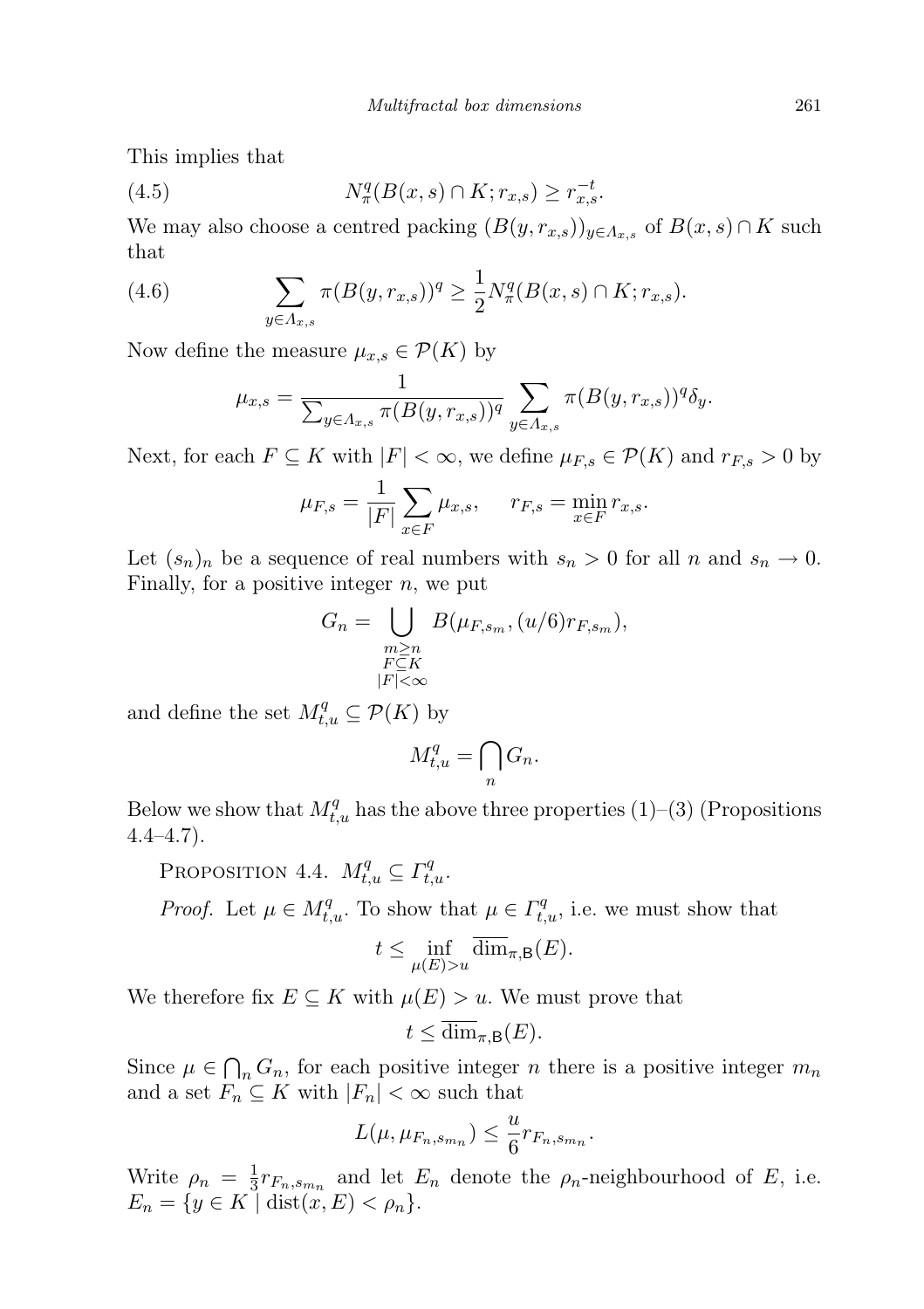This implies that

(4.5) 
$$
N_{\pi}^{q}(B(x, s) \cap K; r_{x, s}) \geq r_{x, s}^{-t}.
$$

We may also choose a centred packing  $(B(y, r_{x,s}))_{y \in A_{x,s}}$  of  $B(x, s) \cap K$  such that

(4.6) 
$$
\sum_{y \in \Lambda_{x,s}} \pi(B(y, r_{x,s}))^q \ge \frac{1}{2} N_\pi^q(B(x, s) \cap K; r_{x,s}).
$$

Now define the measure  $\mu_{x,s} \in \mathcal{P}(K)$  by

$$
\mu_{x,s} = \frac{1}{\sum_{y \in A_{x,s}} \pi(B(y, r_{x,s}))^q} \sum_{y \in A_{x,s}} \pi(B(y, r_{x,s}))^q \delta_y.
$$

Next, for each  $F \subseteq K$  with  $|F| < \infty$ , we define  $\mu_{F,s} \in \mathcal{P}(K)$  and  $r_{F,s} > 0$  by

$$
\mu_{F,s} = \frac{1}{|F|} \sum_{x \in F} \mu_{x,s}, \quad r_{F,s} = \min_{x \in F} r_{x,s}.
$$

Let  $(s_n)_n$  be a sequence of real numbers with  $s_n > 0$  for all n and  $s_n \to 0$ . Finally, for a positive integer  $n$ , we put

$$
G_n = \bigcup_{\substack{m \ge n \\ F \subseteq K \\ |F| < \infty}} B(\mu_{F,s_m}, (u/6) r_{F,s_m}),
$$

and define the set  $M_{t,u}^q \subseteq \mathcal{P}(K)$  by

$$
M_{t,u}^q = \bigcap_n G_n.
$$

Below we show that  $M_{t,u}^q$  has the above three properties (1)–(3) (Propositions  $4.4 - 4.7$ ).

PROPOSITION 4.4.  $M_{t,u}^q \subseteq \Gamma_{t,u}^q$ .

*Proof.* Let  $\mu \in M_{t,u}^q$ . To show that  $\mu \in \Gamma_{t,u}^q$ , i.e. we must show that

$$
t\leq \inf_{\mu(E)>u}\overline{\dim}_{\pi,\mathsf{B}}(E).
$$

We therefore fix  $E \subseteq K$  with  $\mu(E) > u$ . We must prove that

$$
t \le \overline{\dim}_{\pi,\mathsf{B}}(E).
$$

Since  $\mu \in \bigcap_n G_n$ , for each positive integer n there is a positive integer  $m_n$ and a set  $F_n \subseteq K$  with  $|F_n| < \infty$  such that

$$
L(\mu, \mu_{F_n, s_{m_n}}) \leq \frac{u}{6} r_{F_n, s_{m_n}}.
$$

Write  $\rho_n = \frac{1}{3}$  $\frac{1}{3}r_{F_n,s_{m_n}}$  and let  $E_n$  denote the  $\rho_n$ -neighbourhood of E, i.e.  $E_n = \{ y \in K \mid \text{dist}(x, E) < \rho_n \}.$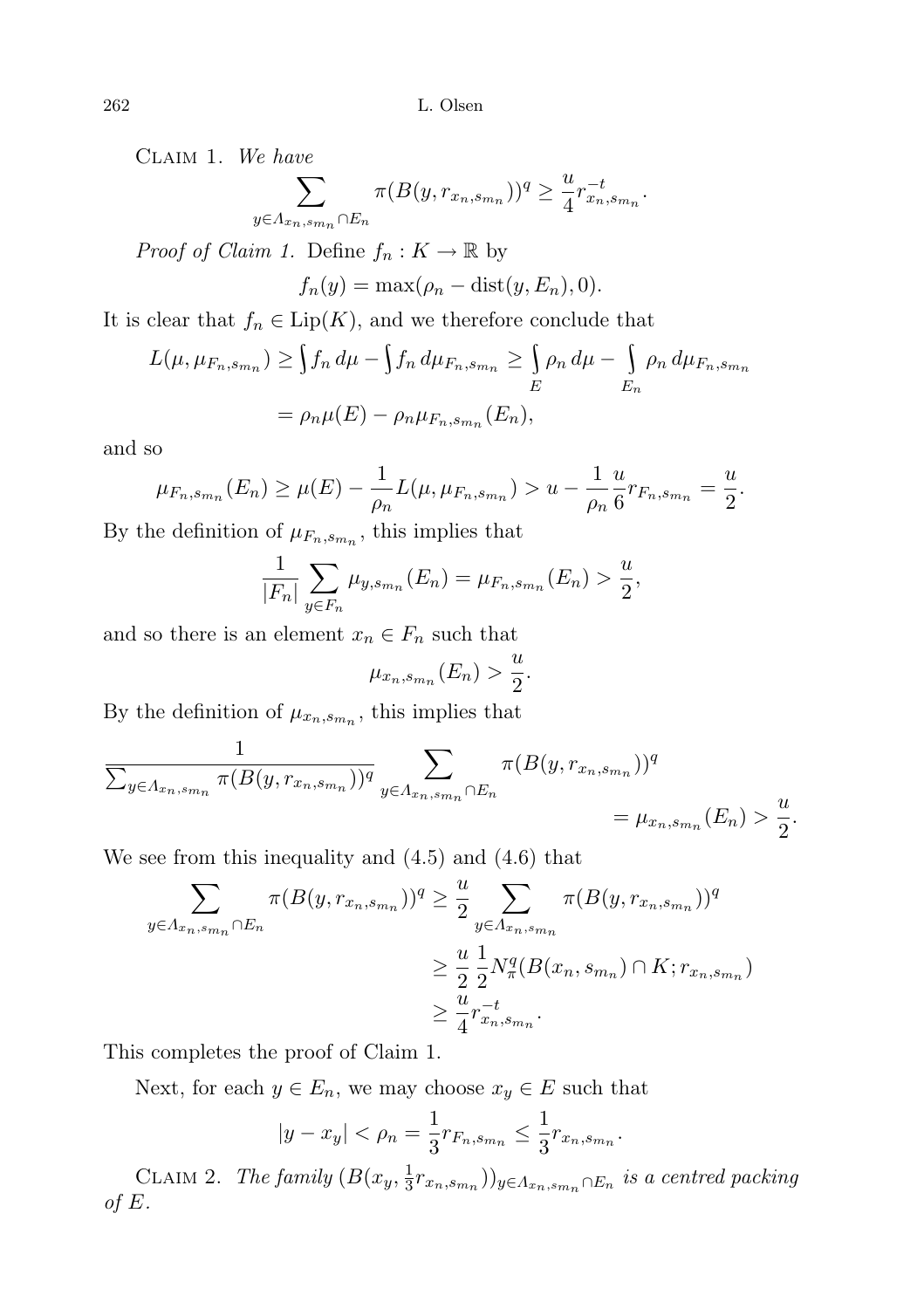Claim 1. We have

$$
\sum_{y \in \Lambda_{x_n, s_{m_n}} \cap E_n} \pi(B(y, r_{x_n, s_{m_n}}))^q \ge \frac{u}{4} r_{x_n, s_{m_n}}^{-t}
$$

.

*Proof of Claim 1.* Define  $f_n: K \to \mathbb{R}$  by

$$
f_n(y) = \max(\rho_n - \text{dist}(y, E_n), 0).
$$

It is clear that  $f_n \in \text{Lip}(K)$ , and we therefore conclude that

$$
L(\mu, \mu_{F_n, s_{m_n}}) \ge \int f_n d\mu - \int f_n d\mu_{F_n, s_{m_n}} \ge \int_E \rho_n d\mu - \int_{E_n} \rho_n d\mu_{F_n, s_{m_n}}
$$
  
=  $\rho_n \mu(E) - \rho_n \mu_{F_n, s_{m_n}}(E_n),$ 

and so

$$
\mu_{F_n,s_{m_n}}(E_n) \ge \mu(E) - \frac{1}{\rho_n} L(\mu, \mu_{F_n,s_{m_n}}) > u - \frac{1}{\rho_n} \frac{u}{6} r_{F_n,s_{m_n}} = \frac{u}{2}.
$$

By the definition of  $\mu_{F_n, s_{m_n}}$ , this implies that

$$
\frac{1}{|F_n|} \sum_{y \in F_n} \mu_{y, s_{m_n}}(E_n) = \mu_{F_n, s_{m_n}}(E_n) > \frac{u}{2},
$$

and so there is an element  $x_n \in F_n$  such that

$$
\mu_{x_n,s_{mn}}(E_n) > \frac{u}{2}.
$$

By the definition of  $\mu_{x_n,s_{mn}}$ , this implies that

$$
\frac{1}{\sum_{y \in A_{x_n, s_{m_n}}} \pi(B(y, r_{x_n, s_{m_n}}))^q} \sum_{y \in A_{x_n, s_{m_n}} \cap E_n} \pi(B(y, r_{x_n, s_{m_n}}))^q = \mu_{x_n, s_{m_n}}(E_n) > \frac{u}{2}.
$$

We see from this inequality and (4.5) and (4.6) that

$$
\sum_{y \in \Lambda_{x_n, s_{m_n}} \cap E_n} \pi(B(y, r_{x_n, s_{m_n}}))^q \ge \frac{u}{2} \sum_{y \in \Lambda_{x_n, s_{m_n}}} \pi(B(y, r_{x_n, s_{m_n}}))^q
$$
\n
$$
\ge \frac{u}{2} \frac{1}{2} N_{\pi}^q(B(x_n, s_{m_n}) \cap K; r_{x_n, s_{m_n}})
$$
\n
$$
\ge \frac{u}{4} r_{x_n, s_{m_n}}^{-t}.
$$

This completes the proof of Claim 1.

Next, for each  $y \in E_n$ , we may choose  $x_y \in E$  such that

$$
|y - x_y| < \rho_n = \frac{1}{3} r_{F_n, s_{m_n}} \leq \frac{1}{3} r_{x_n, s_{m_n}}.
$$

CLAIM 2. The family  $(B(x_y, \frac{1}{3}))$  $(\frac{1}{3}r_{x_n,s_{m_n}})$ <sub>y∈ $\Lambda_{x_n,s_{m_n}}$ ∩ $E_n$  is a centred packing</sub> of  $E$ .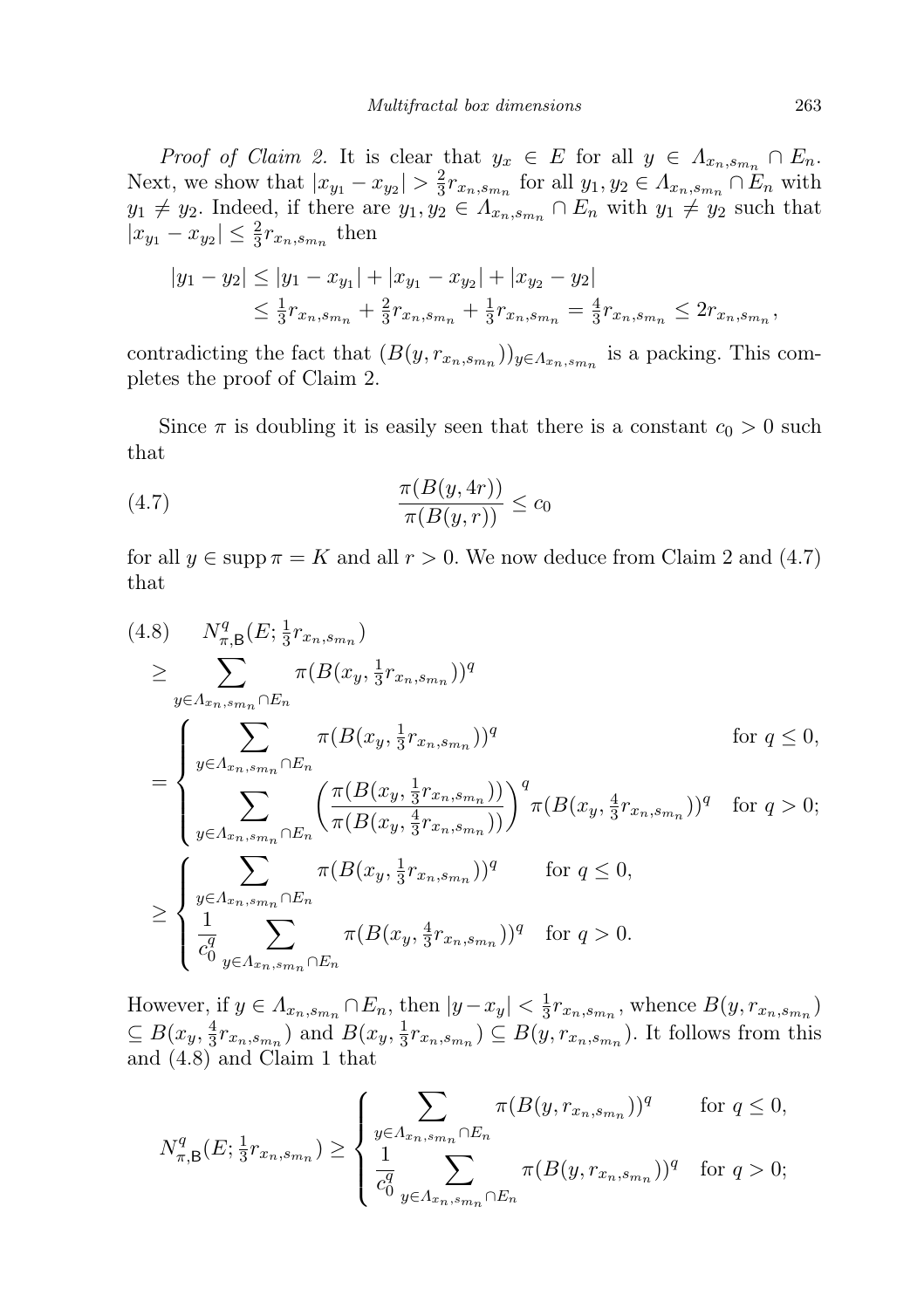Proof of Claim 2. It is clear that  $y_x \in E$  for all  $y \in \Lambda_{x_n,s_{m_n}} \cap E_n$ . Next, we show that  $|x_{y_1} - x_{y_2}| > \frac{2}{3}$  $\frac{2}{3}r_{x_n,s_{m_n}}$  for all  $y_1, y_2 \in A_{x_n,s_{m_n}} \cap E_n$  with  $y_1 \neq y_2$ . Indeed, if there are  $y_1, y_2 \in A_{x_n, s_{m_n}} \cap E_n$  with  $y_1 \neq y_2$  such that  $|x_{y_1} - x_{y_2}| \leq \frac{2}{3} r_{x_n, s_{m_n}}$  then

$$
|y_1 - y_2| \le |y_1 - x_{y_1}| + |x_{y_1} - x_{y_2}| + |x_{y_2} - y_2|
$$
  
\n
$$
\le \frac{1}{3}r_{x_n, s_{mn}} + \frac{2}{3}r_{x_n, s_{mn}} + \frac{1}{3}r_{x_n, s_{mn}} = \frac{4}{3}r_{x_n, s_{mn}} \le 2r_{x_n, s_{mn}},
$$

contradicting the fact that  $(B(y, r_{x_n, s_{m_n}}))_{y \in A_{x_n, s_{m_n}}}$  is a packing. This completes the proof of Claim 2.

Since  $\pi$  is doubling it is easily seen that there is a constant  $c_0 > 0$  such that

$$
\frac{\pi(B(y,4r))}{\pi(B(y,r))} \le c_0
$$

for all  $y \in \text{supp } \pi = K$  and all  $r > 0$ . We now deduce from Claim 2 and (4.7) that

$$
(4.8) \quad N_{\pi,\mathsf{B}}^{q}(E; \frac{1}{3}r_{x_{n},s_{m_{n}}})
$$
\n
$$
\geq \sum_{y \in \Lambda_{x_{n},s_{m_{n}}} \cap E_{n}} \pi(B(x_{y}, \frac{1}{3}r_{x_{n},s_{m_{n}}}))^{q}
$$
\n
$$
= \begin{cases}\n\sum_{y \in \Lambda_{x_{n},s_{m_{n}}} \cap E_{n}} \pi(B(x_{y}, \frac{1}{3}r_{x_{n},s_{m_{n}}}))^{q} & \text{for } q \leq 0, \\
\sum_{y \in \Lambda_{x_{n},s_{m_{n}}} \cap E_{n}} \left(\frac{\pi(B(x_{y}, \frac{1}{3}r_{x_{n},s_{m_{n}}}))}{\pi(B(x_{y}, \frac{4}{3}r_{x_{n},s_{m_{n}}}))}\right)^{q} \pi(B(x_{y}, \frac{4}{3}r_{x_{n},s_{m_{n}}}))^{q} & \text{for } q > 0; \\
\sum_{y \in \Lambda_{x_{n},s_{m_{n}}} \cap E_{n}} \pi(B(x_{y}, \frac{1}{3}r_{x_{n},s_{m_{n}}}))^{q} & \text{for } q \leq 0, \\
\frac{1}{c_{0}^{q}} \sum_{y \in \Lambda_{x_{n},s_{m_{n}}} \cap E_{n}} \pi(B(x_{y}, \frac{4}{3}r_{x_{n},s_{m_{n}}}))^{q} & \text{for } q > 0.\n\end{cases}
$$

However, if  $y \in A_{x_n, s_{m_n}} \cap E_n$ , then  $|y - x_y| < \frac{1}{3}$  $\frac{1}{3}r_{x_n,s_{m_n}}$ , whence  $B(y,r_{x_n,s_{m_n}})$  $\subseteq B(x_y, \frac{4}{3})$  $\frac{4}{3}r_{x_n,s_{m_n}}$ ) and  $B(x_y, \frac{1}{3})$  $(\frac{1}{3}r_{x_n,s_{m_n}}) \subseteq B(y,r_{x_n,s_{m_n}})$ . It follows from this and (4.8) and Claim 1 that

$$
N_{\pi,\mathsf{B}}^q(E; \frac{1}{3}r_{x_n,s_{m_n}}) \ge \begin{cases} \sum_{y \in A_{x_n,s_{m_n}} \cap E_n} \pi(B(y,r_{x_n,s_{m_n}}))^q & \text{for } q \le 0, \\ \frac{1}{c_0^q} \sum_{y \in A_{x_n,s_{m_n}} \cap E_n} \pi(B(y,r_{x_n,s_{m_n}}))^q & \text{for } q > 0; \end{cases}
$$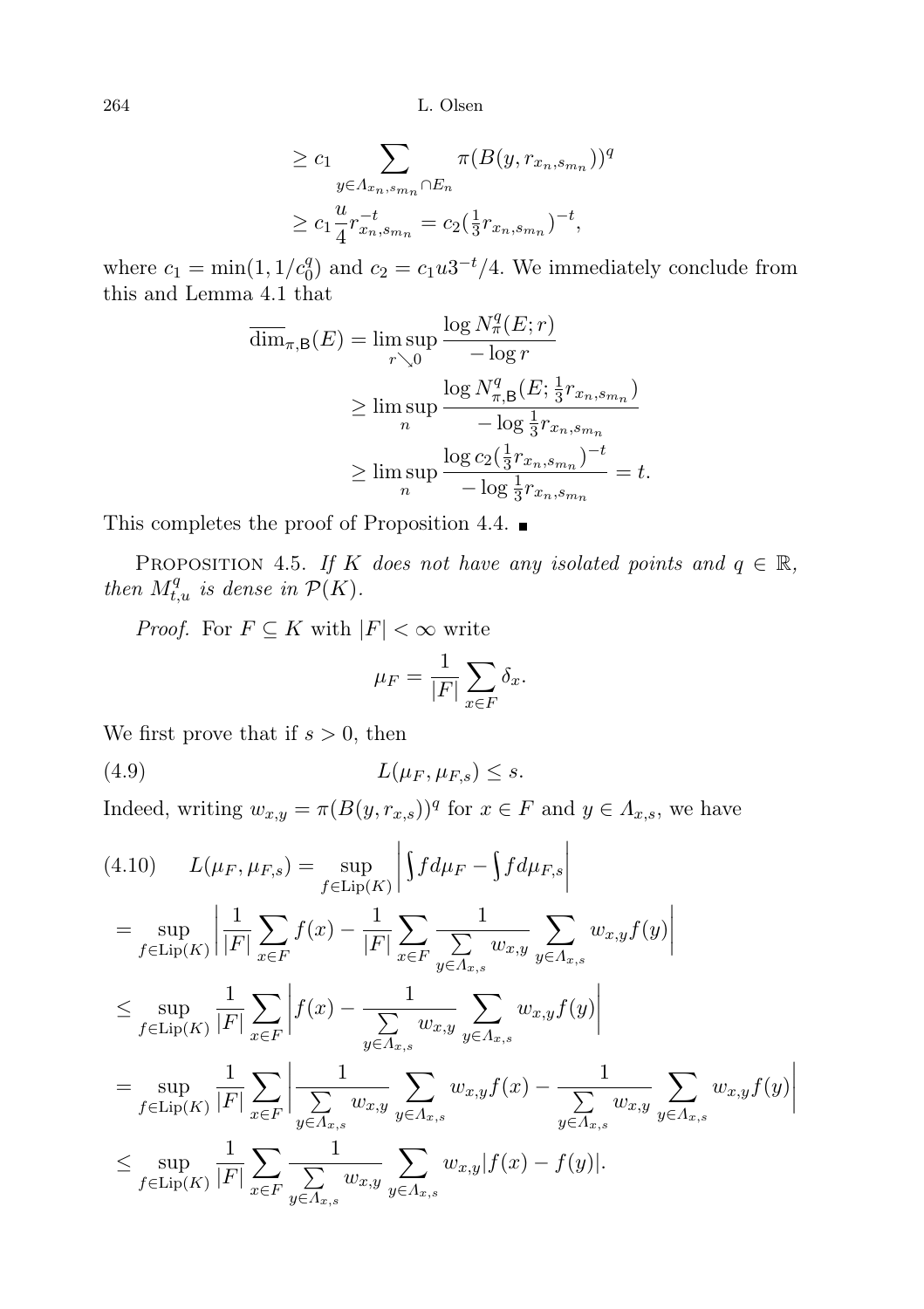$$
\geq c_1 \sum_{y \in A_{x_n, s_{m_n}} \cap E_n} \pi(B(y, r_{x_n, s_{m_n}}))^q
$$
  

$$
\geq c_1 \frac{u}{4} r_{x_n, s_{m_n}}^{-t} = c_2(\frac{1}{3} r_{x_n, s_{m_n}})^{-t},
$$

where  $c_1 = \min(1, 1/c_0^q)$  and  $c_2 = c_1 u 3^{-t}/4$ . We immediately conclude from this and Lemma 4.1 that

$$
\overline{\dim}_{\pi,\mathsf{B}}(E) = \limsup_{r \searrow 0} \frac{\log N_{\pi}^q(E; r)}{-\log r}
$$
\n
$$
\geq \limsup_{n} \frac{\log N_{\pi,\mathsf{B}}^q(E; \frac{1}{3}r_{x_n, s_{m_n}})}{-\log \frac{1}{3}r_{x_n, s_{m_n}}}
$$
\n
$$
\geq \limsup_{n} \frac{\log c_2(\frac{1}{3}r_{x_n, s_{m_n}})^{-t}}{-\log \frac{1}{3}r_{x_n, s_{m_n}}}=t.
$$

This completes the proof of Proposition 4.4.  $\blacksquare$ 

PROPOSITION 4.5. If K does not have any isolated points and  $q \in \mathbb{R}$ , then  $M_{t,u}^q$  is dense in  $\mathcal{P}(K)$ .

*Proof.* For  $F \subseteq K$  with  $|F| < \infty$  write

$$
\mu_F = \frac{1}{|F|} \sum_{x \in F} \delta_x.
$$

We first prove that if  $s > 0$ , then

$$
(4.9) \tL(\mu_F, \mu_{F,s}) \leq s.
$$

Indeed, writing  $w_{x,y} = \pi (B(y, r_{x,s}))^q$  for  $x \in F$  and  $y \in \Lambda_{x,s}$ , we have

$$
(4.10) \qquad L(\mu_F, \mu_{F,s}) = \sup_{f \in \text{Lip}(K)} \left| \int f d\mu_F - \int f d\mu_{F,s} \right|
$$
  
\n
$$
= \sup_{f \in \text{Lip}(K)} \left| \frac{1}{|F|} \sum_{x \in F} f(x) - \frac{1}{|F|} \sum_{x \in F} \frac{1}{\sum_{y \in A_{x,s}} w_{x,y}} \sum_{y \in A_{x,s}} w_{x,y} f(y) \right|
$$
  
\n
$$
\leq \sup_{f \in \text{Lip}(K)} \frac{1}{|F|} \sum_{x \in F} \left| f(x) - \frac{1}{\sum_{y \in A_{x,s}} w_{x,y}} \sum_{y \in A_{x,s}} w_{x,y} f(y) \right|
$$
  
\n
$$
= \sup_{f \in \text{Lip}(K)} \frac{1}{|F|} \sum_{x \in F} \left| \frac{1}{\sum_{y \in A_{x,s}} w_{x,y}} \sum_{y \in A_{x,s}} w_{x,y} f(x) - \frac{1}{\sum_{y \in A_{x,s}} w_{x,y}} \sum_{y \in A_{x,s}} w_{x,y} f(y) \right|
$$
  
\n
$$
\leq \sup_{f \in \text{Lip}(K)} \frac{1}{|F|} \sum_{x \in F} \frac{1}{\sum_{y \in A_{x,s}} w_{x,y}} \sum_{y \in A_{x,s}} w_{x,y} |f(x) - f(y)|.
$$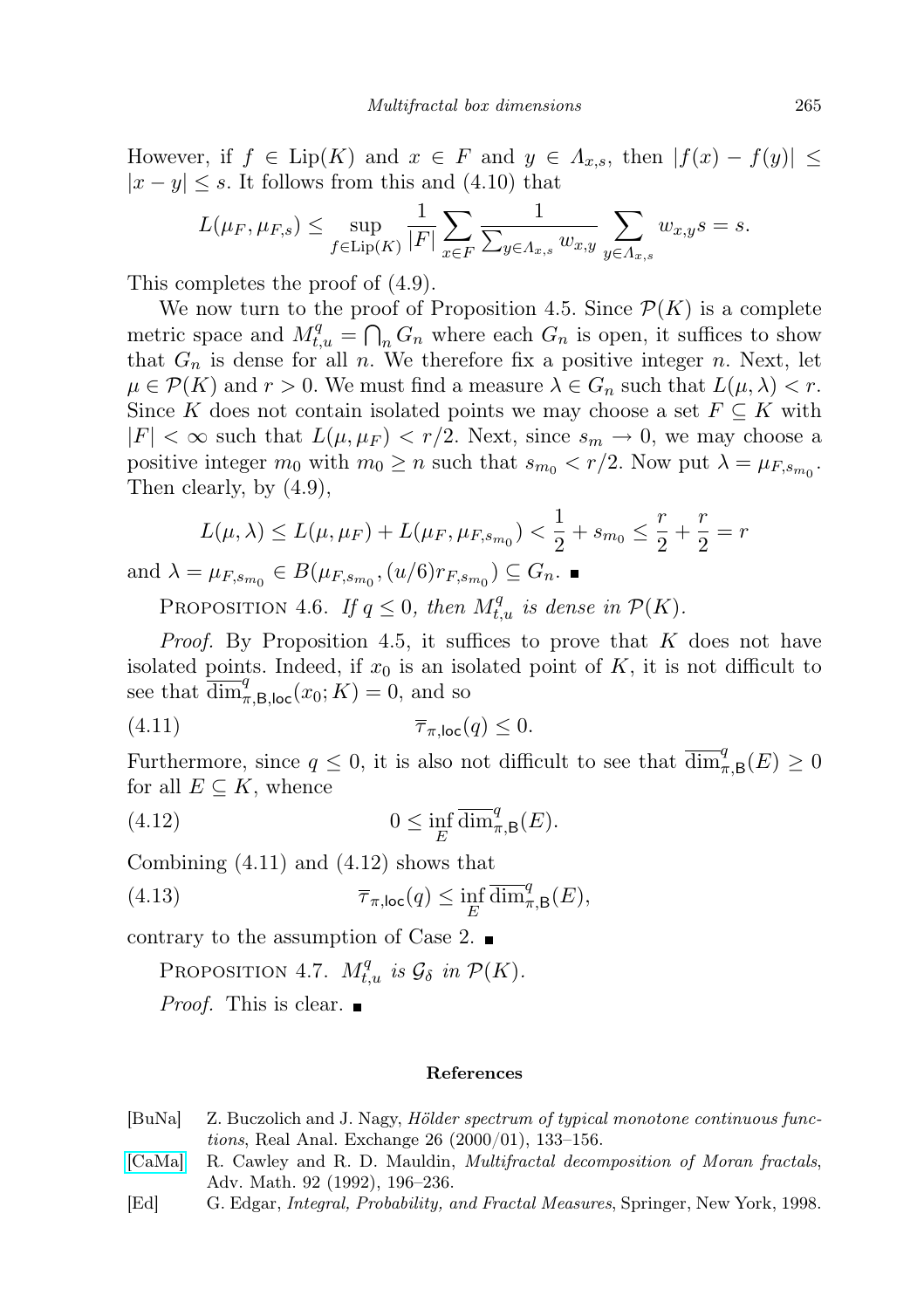However, if  $f \in \text{Lip}(K)$  and  $x \in F$  and  $y \in \Lambda_{x,s}$ , then  $|f(x) - f(y)| \leq$  $|x - y| \leq s$ . It follows from this and (4.10) that

$$
L(\mu_F, \mu_{F,s}) \le \sup_{f \in \text{Lip}(K)} \frac{1}{|F|} \sum_{x \in F} \frac{1}{\sum_{y \in \Lambda_{x,s}} w_{x,y}} \sum_{y \in \Lambda_{x,s}} w_{x,y} s = s.
$$

This completes the proof of (4.9).

We now turn to the proof of Proposition 4.5. Since  $\mathcal{P}(K)$  is a complete metric space and  $M_{t,u}^q = \bigcap_n G_n$  where each  $G_n$  is open, it suffices to show that  $G_n$  is dense for all n. We therefore fix a positive integer n. Next, let  $\mu \in \mathcal{P}(K)$  and  $r > 0$ . We must find a measure  $\lambda \in G_n$  such that  $L(\mu, \lambda) < r$ . Since K does not contain isolated points we may choose a set  $F \subseteq K$  with  $|F| < \infty$  such that  $L(\mu, \mu_F) < r/2$ . Next, since  $s_m \to 0$ , we may choose a positive integer  $m_0$  with  $m_0 \ge n$  such that  $s_{m_0} < r/2$ . Now put  $\lambda = \mu_{F, s_{m_0}}$ . Then clearly, by (4.9),

$$
L(\mu, \lambda) \le L(\mu, \mu_F) + L(\mu_F, \mu_{F, s_{m_0}}) < \frac{1}{2} + s_{m_0} \le \frac{r}{2} + \frac{r}{2} = r
$$
\n
$$
\text{and } \lambda = \mu_{F, s_{m_0}} \in B(\mu_{F, s_{m_0}}, (u/6)r_{F, s_{m_0}}) \subseteq G_n. \blacksquare
$$

PROPOSITION 4.6. If  $q \leq 0$ , then  $M_{t,u}^q$  is dense in  $\mathcal{P}(K)$ .

*Proof.* By Proposition 4.5, it suffices to prove that  $K$  does not have isolated points. Indeed, if  $x_0$  is an isolated point of K, it is not difficult to see that  $\overline{\dim}_{\pi,\mathsf{B} ,\mathsf{loc}}^q(x_0;K) = 0$ , and so

$$
(4.11) \t\t \overline{\tau}_{\pi,\text{loc}}(q) \leq 0.
$$

Furthermore, since  $q \leq 0$ , it is also not difficult to see that  $\overline{\dim}_{\pi,\mathsf{B}}^q(E) \geq 0$ for all  $E \subseteq K$ , whence

(4.12) 
$$
0 \leq \inf_{E} \overline{\dim}_{\pi,B}^q(E).
$$

Combining (4.11) and (4.12) shows that

(4.13) 
$$
\overline{\tau}_{\pi,\text{loc}}(q) \leq \inf_{E} \overline{\dim}_{\pi,\mathsf{B}}^q(E),
$$

contrary to the assumption of Case 2.  $\blacksquare$ 

PROPOSITION 4.7.  $M_{t,u}^q$  is  $\mathcal{G}_\delta$  in  $\mathcal{P}(K)$ .

*Proof.* This is clear.  $\blacksquare$ 

## References

- <span id="page-20-0"></span>[BuNa] Z. Buczolich and J. Nagy, Hölder spectrum of typical monotone continuous functions, Real Anal. Exchange 26 (2000/01), 133–156.
- <span id="page-20-1"></span>[\[CaMa\]](http://dx.doi.org/10.1016/0001-8708(92)90064-R) R. Cawley and R. D. Mauldin, Multifractal decomposition of Moran fractals, Adv. Math. 92 (1992), 196–236.
- <span id="page-20-2"></span>[Ed] G. Edgar, Integral, Probability, and Fractal Measures, Springer, New York, 1998.